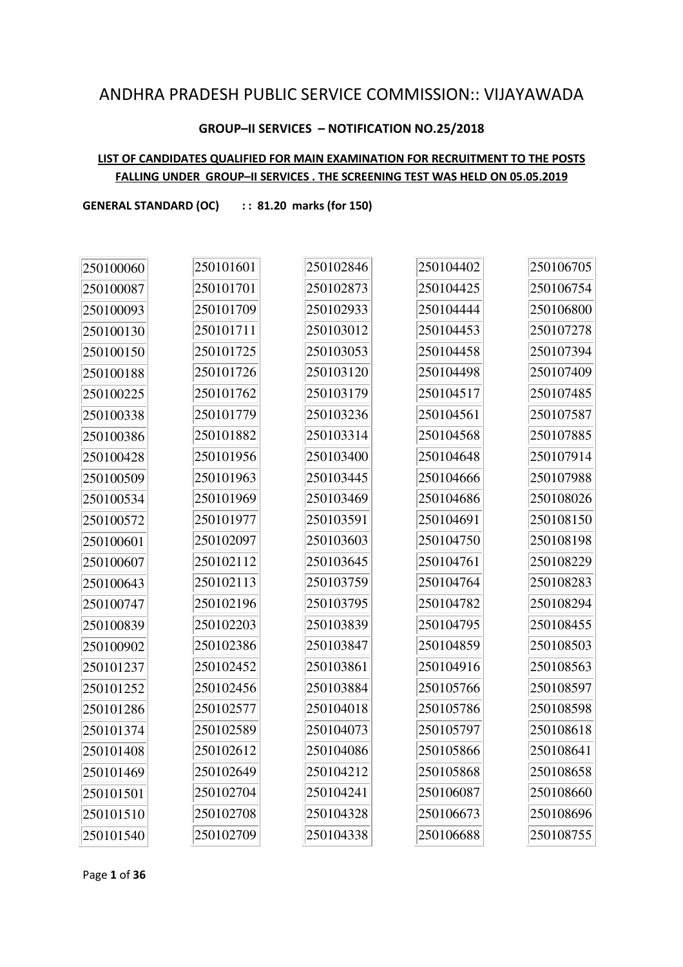## ANDHRA PRADESH PUBLIC SERVICE COMMISSION:: VIJAYAWADA

#### **GROUP–II SERVICES – NOTIFICATION NO.25/2018**

#### **LIST OF CANDIDATES QUALIFIED FOR MAIN EXAMINATION FOR RECRUITMENT TO THE POSTS FALLING UNDER GROUP–II SERVICES . THE SCREENING TEST WAS HELD ON 05.05.2019**

GENERAL STANDARD (OC) :: 81.20 marks (for 150)

| 250100060 | 250101601 | 250102846 | 250104402 | 250106705 |
|-----------|-----------|-----------|-----------|-----------|
| 250100087 | 250101701 | 250102873 | 250104425 | 250106754 |
| 250100093 | 250101709 | 250102933 | 250104444 | 250106800 |
| 250100130 | 250101711 | 250103012 | 250104453 | 250107278 |
| 250100150 | 250101725 | 250103053 | 250104458 | 250107394 |
| 250100188 | 250101726 | 250103120 | 250104498 | 250107409 |
| 250100225 | 250101762 | 250103179 | 250104517 | 250107485 |
| 250100338 | 250101779 | 250103236 | 250104561 | 250107587 |
| 250100386 | 250101882 | 250103314 | 250104568 | 250107885 |
| 250100428 | 250101956 | 250103400 | 250104648 | 250107914 |
| 250100509 | 250101963 | 250103445 | 250104666 | 250107988 |
| 250100534 | 250101969 | 250103469 | 250104686 | 250108026 |
| 250100572 | 250101977 | 250103591 | 250104691 | 250108150 |
| 250100601 | 250102097 | 250103603 | 250104750 | 250108198 |
| 250100607 | 250102112 | 250103645 | 250104761 | 250108229 |
| 250100643 | 250102113 | 250103759 | 250104764 | 250108283 |
| 250100747 | 250102196 | 250103795 | 250104782 | 250108294 |
| 250100839 | 250102203 | 250103839 | 250104795 | 250108455 |
| 250100902 | 250102386 | 250103847 | 250104859 | 250108503 |
| 250101237 | 250102452 | 250103861 | 250104916 | 250108563 |
| 250101252 | 250102456 | 250103884 | 250105766 | 250108597 |
| 250101286 | 250102577 | 250104018 | 250105786 | 250108598 |
| 250101374 | 250102589 | 250104073 | 250105797 | 250108618 |
| 250101408 | 250102612 | 250104086 | 250105866 | 250108641 |
| 250101469 | 250102649 | 250104212 | 250105868 | 250108658 |
| 250101501 | 250102704 | 250104241 | 250106087 | 250108660 |
| 250101510 | 250102708 | 250104328 | 250106673 | 250108696 |
| 250101540 | 250102709 | 250104338 | 250106688 | 250108755 |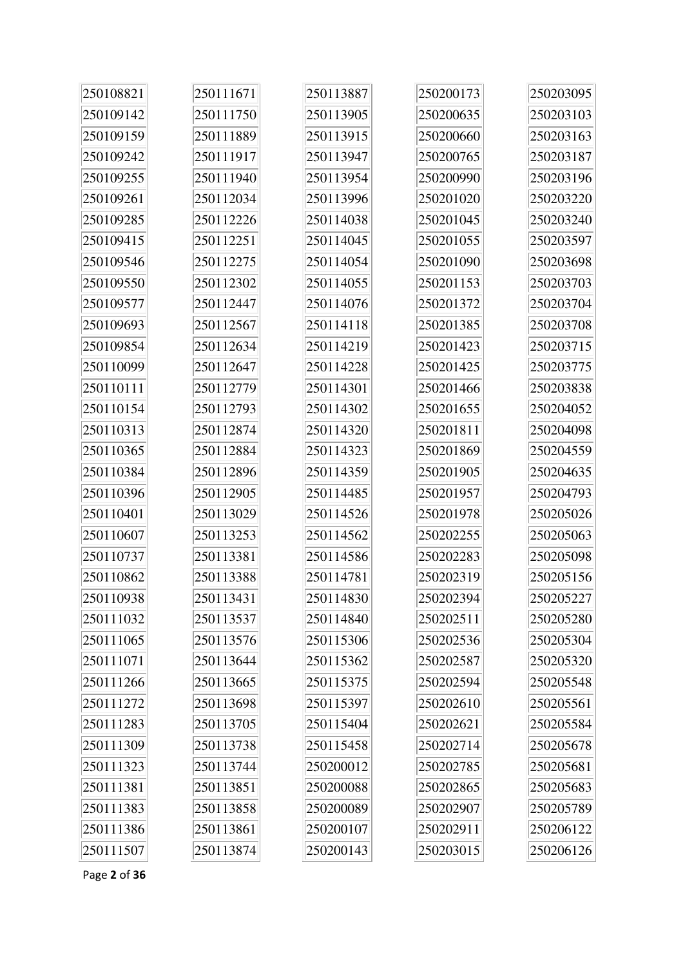| 250108821 | 250111671 | 250113887 | 250200173 | 250203095 |
|-----------|-----------|-----------|-----------|-----------|
| 250109142 | 250111750 | 250113905 | 250200635 | 250203103 |
| 250109159 | 250111889 | 250113915 | 250200660 | 250203163 |
| 250109242 | 250111917 | 250113947 | 250200765 | 250203187 |
| 250109255 | 250111940 | 250113954 | 250200990 | 250203196 |
| 250109261 | 250112034 | 250113996 | 250201020 | 250203220 |
| 250109285 | 250112226 | 250114038 | 250201045 | 250203240 |
| 250109415 | 250112251 | 250114045 | 250201055 | 250203597 |
| 250109546 | 250112275 | 250114054 | 250201090 | 250203698 |
| 250109550 | 250112302 | 250114055 | 250201153 | 250203703 |
| 250109577 | 250112447 | 250114076 | 250201372 | 250203704 |
| 250109693 | 250112567 | 250114118 | 250201385 | 250203708 |
| 250109854 | 250112634 | 250114219 | 250201423 | 250203715 |
| 250110099 | 250112647 | 250114228 | 250201425 | 250203775 |
| 250110111 | 250112779 | 250114301 | 250201466 | 250203838 |
| 250110154 | 250112793 | 250114302 | 250201655 | 250204052 |
| 250110313 | 250112874 | 250114320 | 250201811 | 250204098 |
| 250110365 | 250112884 | 250114323 | 250201869 | 250204559 |
| 250110384 | 250112896 | 250114359 | 250201905 | 250204635 |
| 250110396 | 250112905 | 250114485 | 250201957 | 250204793 |
| 250110401 | 250113029 | 250114526 | 250201978 | 250205026 |
| 250110607 | 250113253 | 250114562 | 250202255 | 250205063 |
| 250110737 | 250113381 | 250114586 | 250202283 | 250205098 |
| 250110862 | 250113388 | 250114781 | 250202319 | 250205156 |
| 250110938 | 250113431 | 250114830 | 250202394 | 250205227 |
| 250111032 | 250113537 | 250114840 | 250202511 | 250205280 |
| 250111065 | 250113576 | 250115306 | 250202536 | 250205304 |
| 250111071 | 250113644 | 250115362 | 250202587 | 250205320 |
| 250111266 | 250113665 | 250115375 | 250202594 | 250205548 |
| 250111272 | 250113698 | 250115397 | 250202610 | 250205561 |
| 250111283 | 250113705 | 250115404 | 250202621 | 250205584 |
| 250111309 | 250113738 | 250115458 | 250202714 | 250205678 |
| 250111323 | 250113744 | 250200012 | 250202785 | 250205681 |
| 250111381 | 250113851 | 250200088 | 250202865 | 250205683 |
| 250111383 | 250113858 | 250200089 | 250202907 | 250205789 |
| 250111386 | 250113861 | 250200107 | 250202911 | 250206122 |
| 250111507 | 250113874 | 250200143 | 250203015 | 250206126 |

Page **2** of **36**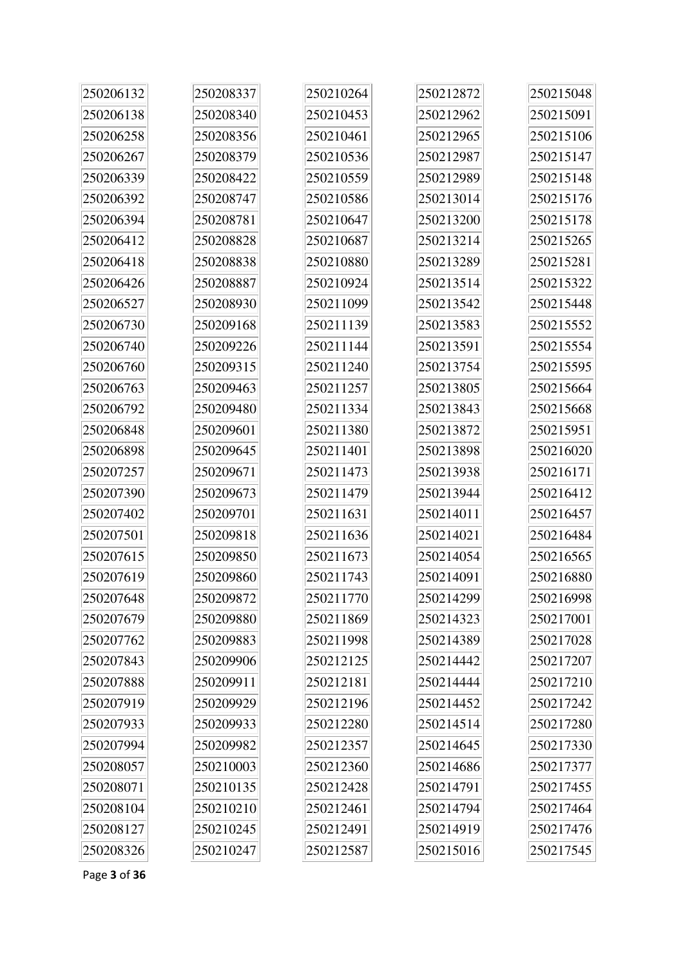| 250206132 | 250208337 | 250210264 | 250212872 | 250215048 |
|-----------|-----------|-----------|-----------|-----------|
| 250206138 | 250208340 | 250210453 | 250212962 | 250215091 |
| 250206258 | 250208356 | 250210461 | 250212965 | 250215106 |
| 250206267 | 250208379 | 250210536 | 250212987 | 250215147 |
| 250206339 | 250208422 | 250210559 | 250212989 | 250215148 |
| 250206392 | 250208747 | 250210586 | 250213014 | 250215176 |
| 250206394 | 250208781 | 250210647 | 250213200 | 250215178 |
| 250206412 | 250208828 | 250210687 | 250213214 | 250215265 |
| 250206418 | 250208838 | 250210880 | 250213289 | 250215281 |
| 250206426 | 250208887 | 250210924 | 250213514 | 250215322 |
| 250206527 | 250208930 | 250211099 | 250213542 | 250215448 |
| 250206730 | 250209168 | 250211139 | 250213583 | 250215552 |
| 250206740 | 250209226 | 250211144 | 250213591 | 250215554 |
| 250206760 | 250209315 | 250211240 | 250213754 | 250215595 |
| 250206763 | 250209463 | 250211257 | 250213805 | 250215664 |
| 250206792 | 250209480 | 250211334 | 250213843 | 250215668 |
| 250206848 | 250209601 | 250211380 | 250213872 | 250215951 |
| 250206898 | 250209645 | 250211401 | 250213898 | 250216020 |
| 250207257 | 250209671 | 250211473 | 250213938 | 250216171 |
| 250207390 | 250209673 | 250211479 | 250213944 | 250216412 |
| 250207402 | 250209701 | 250211631 | 250214011 | 250216457 |
| 250207501 | 250209818 | 250211636 | 250214021 | 250216484 |
| 250207615 | 250209850 | 250211673 | 250214054 | 250216565 |
| 250207619 | 250209860 | 250211743 | 250214091 | 250216880 |
| 250207648 | 250209872 | 250211770 | 250214299 | 250216998 |
| 250207679 | 250209880 | 250211869 | 250214323 | 250217001 |
| 250207762 | 250209883 | 250211998 | 250214389 | 250217028 |
| 250207843 | 250209906 | 250212125 | 250214442 | 250217207 |
| 250207888 | 250209911 | 250212181 | 250214444 | 250217210 |
| 250207919 | 250209929 | 250212196 | 250214452 | 250217242 |
| 250207933 | 250209933 | 250212280 | 250214514 | 250217280 |
| 250207994 | 250209982 | 250212357 | 250214645 | 250217330 |
| 250208057 | 250210003 | 250212360 | 250214686 | 250217377 |
| 250208071 | 250210135 | 250212428 | 250214791 | 250217455 |
| 250208104 | 250210210 | 250212461 | 250214794 | 250217464 |
| 250208127 | 250210245 | 250212491 | 250214919 | 250217476 |
| 250208326 | 250210247 | 250212587 | 250215016 | 250217545 |

Page **3** of **36**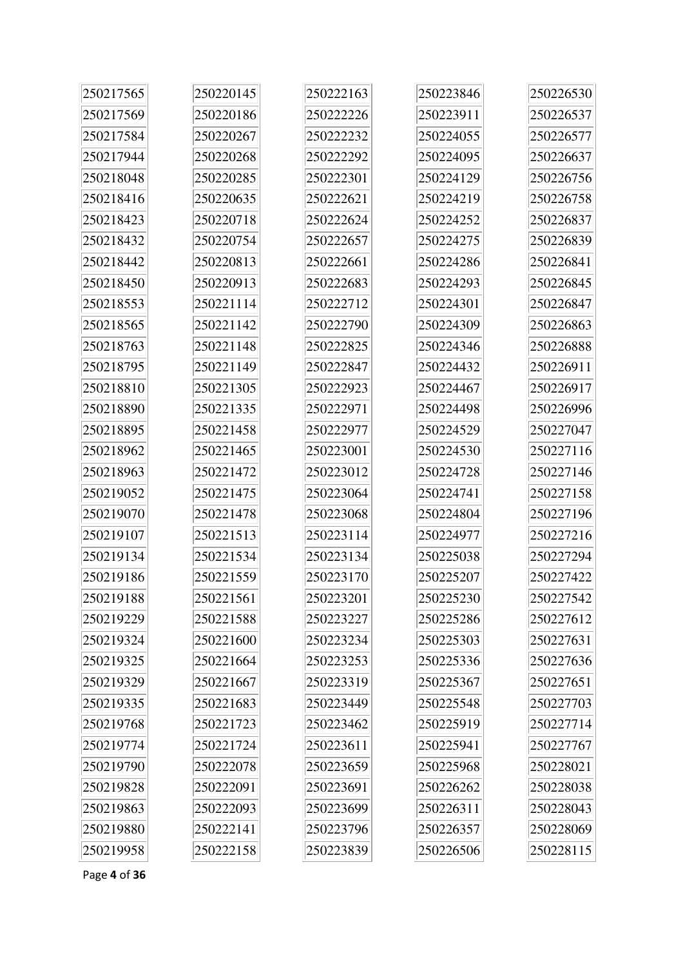| 250217565 | 250220145 | 250222163 | 250223846 | 250226530 |
|-----------|-----------|-----------|-----------|-----------|
| 250217569 | 250220186 | 250222226 | 250223911 | 250226537 |
| 250217584 | 250220267 | 250222232 | 250224055 | 250226577 |
| 250217944 | 250220268 | 250222292 | 250224095 | 250226637 |
| 250218048 | 250220285 | 250222301 | 250224129 | 250226756 |
| 250218416 | 250220635 | 250222621 | 250224219 | 250226758 |
| 250218423 | 250220718 | 250222624 | 250224252 | 250226837 |
| 250218432 | 250220754 | 250222657 | 250224275 | 250226839 |
| 250218442 | 250220813 | 250222661 | 250224286 | 250226841 |
| 250218450 | 250220913 | 250222683 | 250224293 | 250226845 |
| 250218553 | 250221114 | 250222712 | 250224301 | 250226847 |
| 250218565 | 250221142 | 250222790 | 250224309 | 250226863 |
| 250218763 | 250221148 | 250222825 | 250224346 | 250226888 |
| 250218795 | 250221149 | 250222847 | 250224432 | 250226911 |
| 250218810 | 250221305 | 250222923 | 250224467 | 250226917 |
| 250218890 | 250221335 | 250222971 | 250224498 | 250226996 |
| 250218895 | 250221458 | 250222977 | 250224529 | 250227047 |
| 250218962 | 250221465 | 250223001 | 250224530 | 250227116 |
| 250218963 | 250221472 | 250223012 | 250224728 | 250227146 |
| 250219052 | 250221475 | 250223064 | 250224741 | 250227158 |
| 250219070 | 250221478 | 250223068 | 250224804 | 250227196 |
| 250219107 | 250221513 | 250223114 | 250224977 | 250227216 |
| 250219134 | 250221534 | 250223134 | 250225038 | 250227294 |
| 250219186 | 250221559 | 250223170 | 250225207 | 250227422 |
| 250219188 | 250221561 | 250223201 | 250225230 | 250227542 |
| 250219229 | 250221588 | 250223227 | 250225286 | 250227612 |
| 250219324 | 250221600 | 250223234 | 250225303 | 250227631 |
| 250219325 | 250221664 | 250223253 | 250225336 | 250227636 |
| 250219329 | 250221667 | 250223319 | 250225367 | 250227651 |
| 250219335 | 250221683 | 250223449 | 250225548 | 250227703 |
| 250219768 | 250221723 | 250223462 | 250225919 | 250227714 |
| 250219774 | 250221724 | 250223611 | 250225941 | 250227767 |
| 250219790 | 250222078 | 250223659 | 250225968 | 250228021 |
| 250219828 | 250222091 | 250223691 | 250226262 | 250228038 |
| 250219863 | 250222093 | 250223699 | 250226311 | 250228043 |
| 250219880 | 250222141 | 250223796 | 250226357 | 250228069 |
| 250219958 | 250222158 | 250223839 | 250226506 | 250228115 |

Page **4** of **36**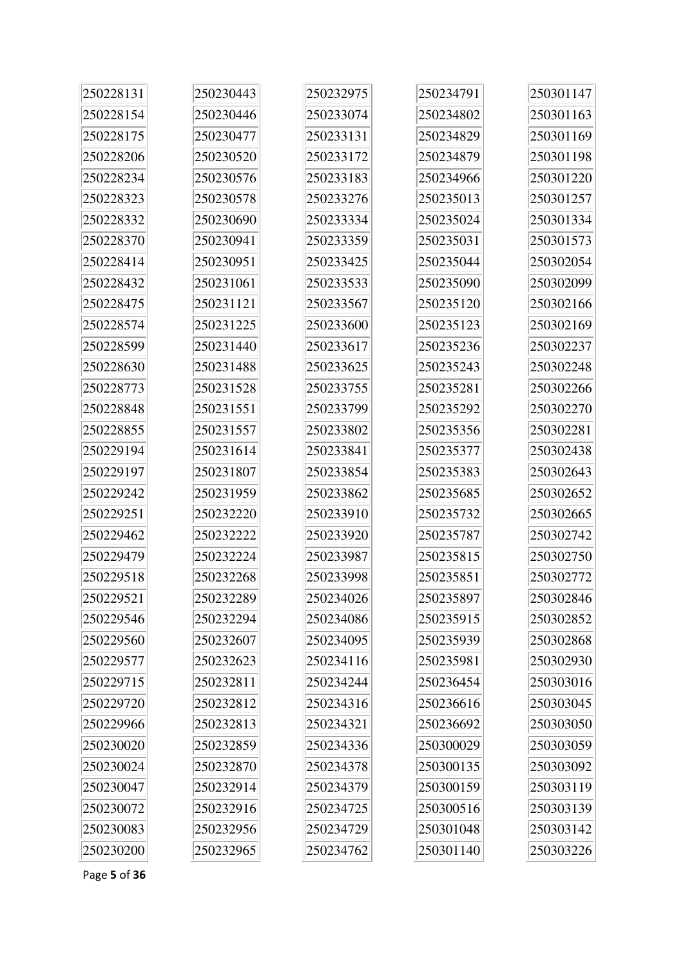| 250228131 | 250230443 | 250232975 | 250234791 | 250301147 |
|-----------|-----------|-----------|-----------|-----------|
| 250228154 | 250230446 | 250233074 | 250234802 | 250301163 |
| 250228175 | 250230477 | 250233131 | 250234829 | 250301169 |
| 250228206 | 250230520 | 250233172 | 250234879 | 250301198 |
| 250228234 | 250230576 | 250233183 | 250234966 | 250301220 |
| 250228323 | 250230578 | 250233276 | 250235013 | 250301257 |
| 250228332 | 250230690 | 250233334 | 250235024 | 250301334 |
| 250228370 | 250230941 | 250233359 | 250235031 | 250301573 |
| 250228414 | 250230951 | 250233425 | 250235044 | 250302054 |
| 250228432 | 250231061 | 250233533 | 250235090 | 250302099 |
| 250228475 | 250231121 | 250233567 | 250235120 | 250302166 |
| 250228574 | 250231225 | 250233600 | 250235123 | 250302169 |
| 250228599 | 250231440 | 250233617 | 250235236 | 250302237 |
| 250228630 | 250231488 | 250233625 | 250235243 | 250302248 |
| 250228773 | 250231528 | 250233755 | 250235281 | 250302266 |
| 250228848 | 250231551 | 250233799 | 250235292 | 250302270 |
| 250228855 | 250231557 | 250233802 | 250235356 | 250302281 |
| 250229194 | 250231614 | 250233841 | 250235377 | 250302438 |
| 250229197 | 250231807 | 250233854 | 250235383 | 250302643 |
| 250229242 | 250231959 | 250233862 | 250235685 | 250302652 |
| 250229251 | 250232220 | 250233910 | 250235732 | 250302665 |
| 250229462 | 250232222 | 250233920 | 250235787 | 250302742 |
| 250229479 | 250232224 | 250233987 | 250235815 | 250302750 |
| 250229518 | 250232268 | 250233998 | 250235851 | 250302772 |
| 250229521 | 250232289 | 250234026 | 250235897 | 250302846 |
| 250229546 | 250232294 | 250234086 | 250235915 | 250302852 |
| 250229560 | 250232607 | 250234095 | 250235939 | 250302868 |
| 250229577 | 250232623 | 250234116 | 250235981 | 250302930 |
| 250229715 | 250232811 | 250234244 | 250236454 | 250303016 |
| 250229720 | 250232812 | 250234316 | 250236616 | 250303045 |
| 250229966 | 250232813 | 250234321 | 250236692 | 250303050 |
| 250230020 | 250232859 | 250234336 | 250300029 | 250303059 |
| 250230024 | 250232870 | 250234378 | 250300135 | 250303092 |
| 250230047 | 250232914 | 250234379 | 250300159 | 250303119 |
| 250230072 | 250232916 | 250234725 | 250300516 | 250303139 |
| 250230083 | 250232956 | 250234729 | 250301048 | 250303142 |
| 250230200 | 250232965 | 250234762 | 250301140 | 250303226 |

Page **5** of **36**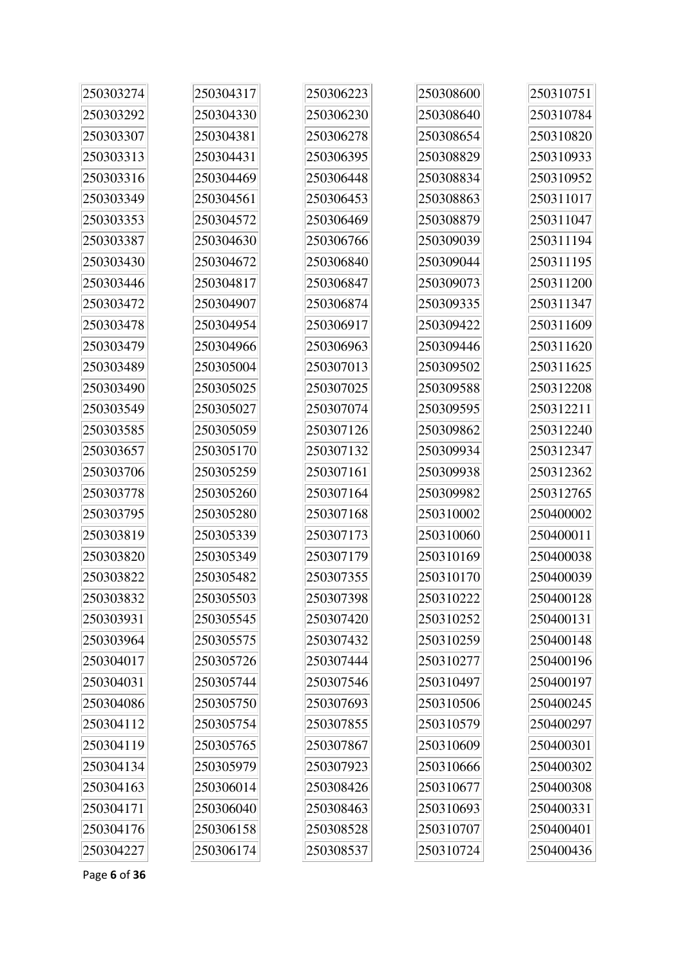| 250303274 | 250304317 | 250306223 | 250308600 | 250310751 |
|-----------|-----------|-----------|-----------|-----------|
| 250303292 | 250304330 | 250306230 | 250308640 | 250310784 |
| 250303307 | 250304381 | 250306278 | 250308654 | 250310820 |
| 250303313 | 250304431 | 250306395 | 250308829 | 250310933 |
| 250303316 | 250304469 | 250306448 | 250308834 | 250310952 |
| 250303349 | 250304561 | 250306453 | 250308863 | 250311017 |
| 250303353 | 250304572 | 250306469 | 250308879 | 250311047 |
| 250303387 | 250304630 | 250306766 | 250309039 | 250311194 |
| 250303430 | 250304672 | 250306840 | 250309044 | 250311195 |
| 250303446 | 250304817 | 250306847 | 250309073 | 250311200 |
| 250303472 | 250304907 | 250306874 | 250309335 | 250311347 |
| 250303478 | 250304954 | 250306917 | 250309422 | 250311609 |
| 250303479 | 250304966 | 250306963 | 250309446 | 250311620 |
| 250303489 | 250305004 | 250307013 | 250309502 | 250311625 |
| 250303490 | 250305025 | 250307025 | 250309588 | 250312208 |
| 250303549 | 250305027 | 250307074 | 250309595 | 250312211 |
| 250303585 | 250305059 | 250307126 | 250309862 | 250312240 |
| 250303657 | 250305170 | 250307132 | 250309934 | 250312347 |
| 250303706 | 250305259 | 250307161 | 250309938 | 250312362 |
| 250303778 | 250305260 | 250307164 | 250309982 | 250312765 |
| 250303795 | 250305280 | 250307168 | 250310002 | 250400002 |
| 250303819 | 250305339 | 250307173 | 250310060 | 250400011 |
| 250303820 | 250305349 | 250307179 | 250310169 | 250400038 |
| 250303822 | 250305482 | 250307355 | 250310170 | 250400039 |
| 250303832 | 250305503 | 250307398 | 250310222 | 250400128 |
| 250303931 | 250305545 | 250307420 | 250310252 | 250400131 |
| 250303964 | 250305575 | 250307432 | 250310259 | 250400148 |
| 250304017 | 250305726 | 250307444 | 250310277 | 250400196 |
| 250304031 | 250305744 | 250307546 | 250310497 | 250400197 |
| 250304086 | 250305750 | 250307693 | 250310506 | 250400245 |
| 250304112 | 250305754 | 250307855 | 250310579 | 250400297 |
| 250304119 | 250305765 | 250307867 | 250310609 | 250400301 |
| 250304134 | 250305979 | 250307923 | 250310666 | 250400302 |
| 250304163 | 250306014 | 250308426 | 250310677 | 250400308 |
| 250304171 | 250306040 | 250308463 | 250310693 | 250400331 |
| 250304176 | 250306158 | 250308528 | 250310707 | 250400401 |
| 250304227 | 250306174 | 250308537 | 250310724 | 250400436 |

Page **6** of **36**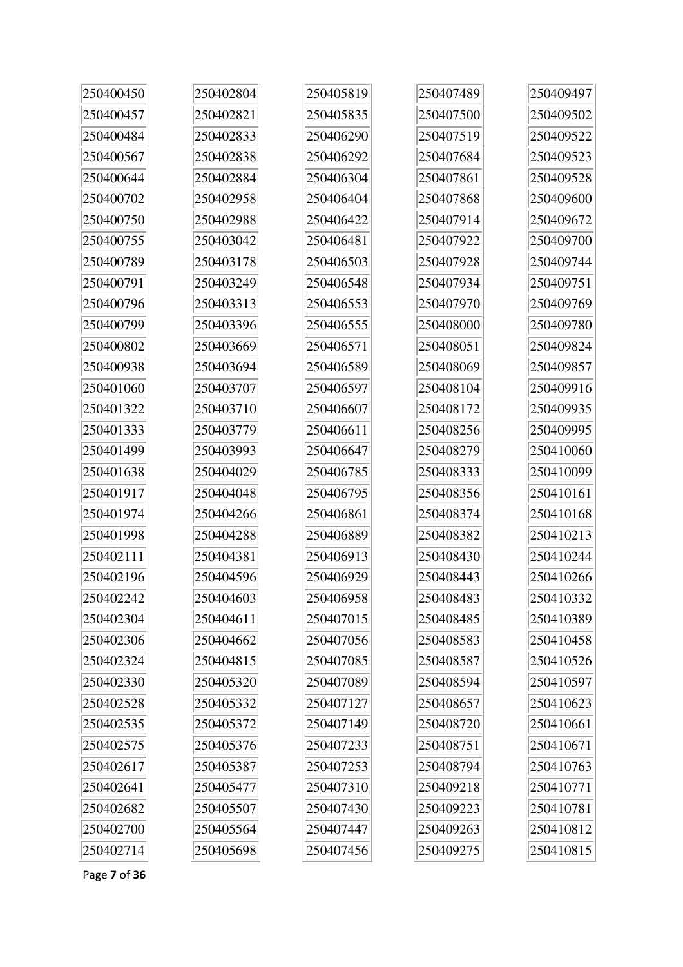| 250400450 | 250402804 | 250405819 | 250407489 | 250409497 |
|-----------|-----------|-----------|-----------|-----------|
| 250400457 | 250402821 | 250405835 | 250407500 | 250409502 |
| 250400484 | 250402833 | 250406290 | 250407519 | 250409522 |
| 250400567 | 250402838 | 250406292 | 250407684 | 250409523 |
| 250400644 | 250402884 | 250406304 | 250407861 | 250409528 |
| 250400702 | 250402958 | 250406404 | 250407868 | 250409600 |
| 250400750 | 250402988 | 250406422 | 250407914 | 250409672 |
| 250400755 | 250403042 | 250406481 | 250407922 | 250409700 |
| 250400789 | 250403178 | 250406503 | 250407928 | 250409744 |
| 250400791 | 250403249 | 250406548 | 250407934 | 250409751 |
| 250400796 | 250403313 | 250406553 | 250407970 | 250409769 |
| 250400799 | 250403396 | 250406555 | 250408000 | 250409780 |
| 250400802 | 250403669 | 250406571 | 250408051 | 250409824 |
| 250400938 | 250403694 | 250406589 | 250408069 | 250409857 |
| 250401060 | 250403707 | 250406597 | 250408104 | 250409916 |
| 250401322 | 250403710 | 250406607 | 250408172 | 250409935 |
| 250401333 | 250403779 | 250406611 | 250408256 | 250409995 |
| 250401499 | 250403993 | 250406647 | 250408279 | 250410060 |
| 250401638 | 250404029 | 250406785 | 250408333 | 250410099 |
| 250401917 | 250404048 | 250406795 | 250408356 | 250410161 |
| 250401974 | 250404266 | 250406861 | 250408374 | 250410168 |
| 250401998 | 250404288 | 250406889 | 250408382 | 250410213 |
| 250402111 | 250404381 | 250406913 | 250408430 | 250410244 |
| 250402196 | 250404596 | 250406929 | 250408443 | 250410266 |
| 250402242 | 250404603 | 250406958 | 250408483 | 250410332 |
| 250402304 | 250404611 | 250407015 | 250408485 | 250410389 |
| 250402306 | 250404662 | 250407056 | 250408583 | 250410458 |
| 250402324 | 250404815 | 250407085 | 250408587 | 250410526 |
| 250402330 | 250405320 | 250407089 | 250408594 | 250410597 |
| 250402528 | 250405332 | 250407127 | 250408657 | 250410623 |
| 250402535 | 250405372 | 250407149 | 250408720 | 250410661 |
| 250402575 | 250405376 | 250407233 | 250408751 | 250410671 |
| 250402617 | 250405387 | 250407253 | 250408794 | 250410763 |
| 250402641 | 250405477 | 250407310 | 250409218 | 250410771 |
| 250402682 | 250405507 | 250407430 | 250409223 | 250410781 |
| 250402700 | 250405564 | 250407447 | 250409263 | 250410812 |
| 250402714 | 250405698 | 250407456 | 250409275 | 250410815 |

Page **7** of **36**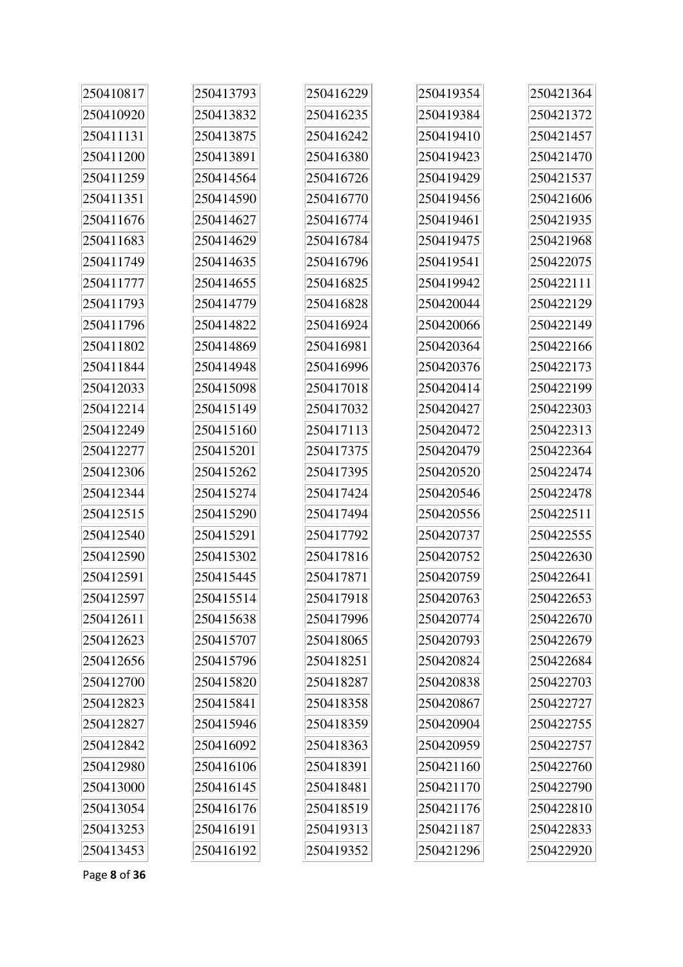| 250410817 | 250413793 | 250416229 | 250419354 | 250421364 |
|-----------|-----------|-----------|-----------|-----------|
| 250410920 | 250413832 | 250416235 | 250419384 | 250421372 |
| 250411131 | 250413875 | 250416242 | 250419410 | 250421457 |
| 250411200 | 250413891 | 250416380 | 250419423 | 250421470 |
| 250411259 | 250414564 | 250416726 | 250419429 | 250421537 |
| 250411351 | 250414590 | 250416770 | 250419456 | 250421606 |
| 250411676 | 250414627 | 250416774 | 250419461 | 250421935 |
| 250411683 | 250414629 | 250416784 | 250419475 | 250421968 |
| 250411749 | 250414635 | 250416796 | 250419541 | 250422075 |
| 250411777 | 250414655 | 250416825 | 250419942 | 250422111 |
| 250411793 | 250414779 | 250416828 | 250420044 | 250422129 |
| 250411796 | 250414822 | 250416924 | 250420066 | 250422149 |
| 250411802 | 250414869 | 250416981 | 250420364 | 250422166 |
| 250411844 | 250414948 | 250416996 | 250420376 | 250422173 |
| 250412033 | 250415098 | 250417018 | 250420414 | 250422199 |
| 250412214 | 250415149 | 250417032 | 250420427 | 250422303 |
| 250412249 | 250415160 | 250417113 | 250420472 | 250422313 |
| 250412277 | 250415201 | 250417375 | 250420479 | 250422364 |
| 250412306 | 250415262 | 250417395 | 250420520 | 250422474 |
| 250412344 | 250415274 | 250417424 | 250420546 | 250422478 |
| 250412515 | 250415290 | 250417494 | 250420556 | 250422511 |
| 250412540 | 250415291 | 250417792 | 250420737 | 250422555 |
| 250412590 | 250415302 | 250417816 | 250420752 | 250422630 |
| 250412591 | 250415445 | 250417871 | 250420759 | 250422641 |
| 250412597 | 250415514 | 250417918 | 250420763 | 250422653 |
| 250412611 | 250415638 | 250417996 | 250420774 | 250422670 |
| 250412623 | 250415707 | 250418065 | 250420793 | 250422679 |
| 250412656 | 250415796 | 250418251 | 250420824 | 250422684 |
| 250412700 | 250415820 | 250418287 | 250420838 | 250422703 |
| 250412823 | 250415841 | 250418358 | 250420867 | 250422727 |
| 250412827 | 250415946 | 250418359 | 250420904 | 250422755 |
| 250412842 | 250416092 | 250418363 | 250420959 | 250422757 |
| 250412980 | 250416106 | 250418391 | 250421160 | 250422760 |
| 250413000 | 250416145 | 250418481 | 250421170 | 250422790 |
| 250413054 | 250416176 | 250418519 | 250421176 | 250422810 |
| 250413253 | 250416191 | 250419313 | 250421187 | 250422833 |
| 250413453 | 250416192 | 250419352 | 250421296 | 250422920 |

Page **8** of **36**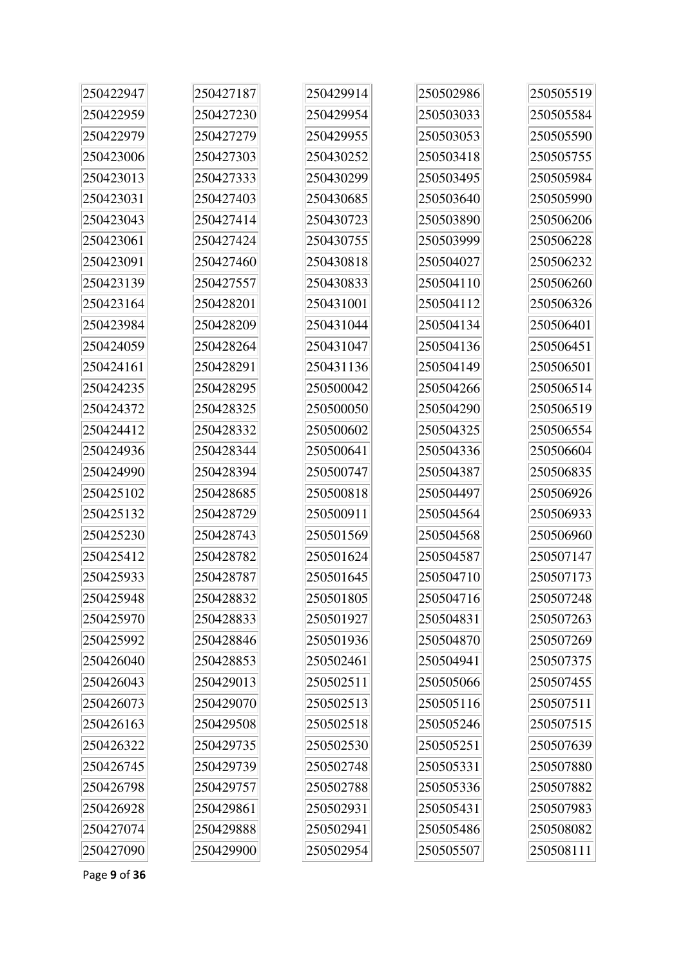| 250422947 | 250427187 | 250429914 | 250502986 | 250505519 |
|-----------|-----------|-----------|-----------|-----------|
| 250422959 | 250427230 | 250429954 | 250503033 | 250505584 |
| 250422979 | 250427279 | 250429955 | 250503053 | 250505590 |
| 250423006 | 250427303 | 250430252 | 250503418 | 250505755 |
| 250423013 | 250427333 | 250430299 | 250503495 | 250505984 |
| 250423031 | 250427403 | 250430685 | 250503640 | 250505990 |
| 250423043 | 250427414 | 250430723 | 250503890 | 250506206 |
| 250423061 | 250427424 | 250430755 | 250503999 | 250506228 |
| 250423091 | 250427460 | 250430818 | 250504027 | 250506232 |
| 250423139 | 250427557 | 250430833 | 250504110 | 250506260 |
| 250423164 | 250428201 | 250431001 | 250504112 | 250506326 |
| 250423984 | 250428209 | 250431044 | 250504134 | 250506401 |
| 250424059 | 250428264 | 250431047 | 250504136 | 250506451 |
| 250424161 | 250428291 | 250431136 | 250504149 | 250506501 |
| 250424235 | 250428295 | 250500042 | 250504266 | 250506514 |
| 250424372 | 250428325 | 250500050 | 250504290 | 250506519 |
| 250424412 | 250428332 | 250500602 | 250504325 | 250506554 |
| 250424936 | 250428344 | 250500641 | 250504336 | 250506604 |
| 250424990 | 250428394 | 250500747 | 250504387 | 250506835 |
| 250425102 | 250428685 | 250500818 | 250504497 | 250506926 |
| 250425132 | 250428729 | 250500911 | 250504564 | 250506933 |
| 250425230 | 250428743 | 250501569 | 250504568 | 250506960 |
| 250425412 | 250428782 | 250501624 | 250504587 | 250507147 |
| 250425933 | 250428787 | 250501645 | 250504710 | 250507173 |
| 250425948 | 250428832 | 250501805 | 250504716 | 250507248 |
| 250425970 | 250428833 | 250501927 | 250504831 | 250507263 |
| 250425992 | 250428846 | 250501936 | 250504870 | 250507269 |
| 250426040 | 250428853 | 250502461 | 250504941 | 250507375 |
| 250426043 | 250429013 | 250502511 | 250505066 | 250507455 |
| 250426073 | 250429070 | 250502513 | 250505116 | 250507511 |
| 250426163 | 250429508 | 250502518 | 250505246 | 250507515 |
| 250426322 | 250429735 | 250502530 | 250505251 | 250507639 |
| 250426745 | 250429739 | 250502748 | 250505331 | 250507880 |
| 250426798 | 250429757 | 250502788 | 250505336 | 250507882 |
| 250426928 | 250429861 | 250502931 | 250505431 | 250507983 |
| 250427074 | 250429888 | 250502941 | 250505486 | 250508082 |
| 250427090 | 250429900 | 250502954 | 250505507 | 250508111 |

Page **9** of **36**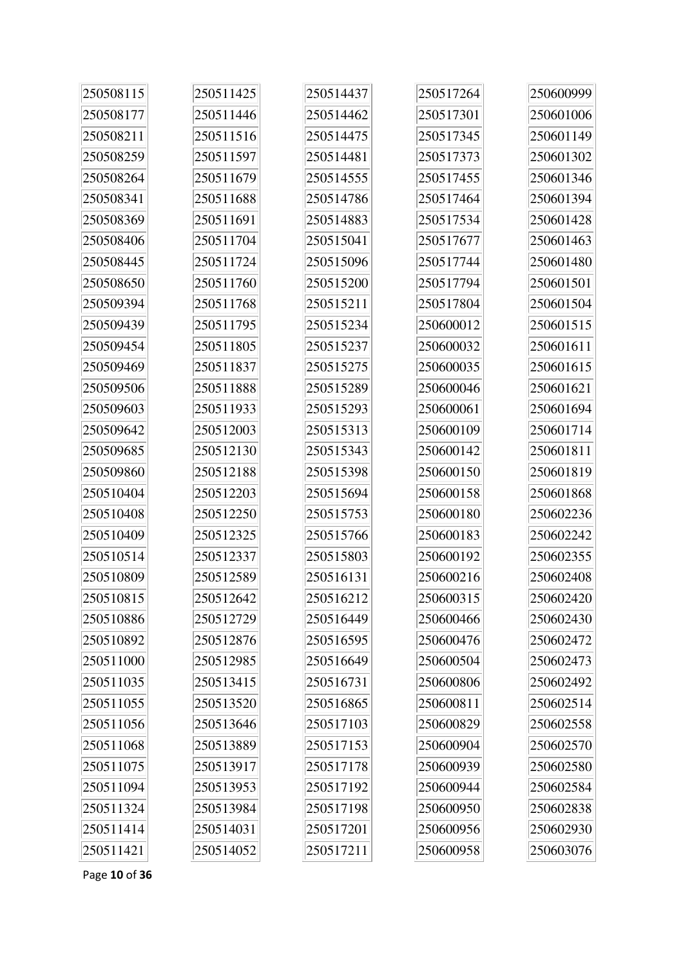| 250508115 | 250511425 | 250514437 | 250517264 | 250600999 |
|-----------|-----------|-----------|-----------|-----------|
| 250508177 | 250511446 | 250514462 | 250517301 | 250601006 |
| 250508211 | 250511516 | 250514475 | 250517345 | 250601149 |
| 250508259 | 250511597 | 250514481 | 250517373 | 250601302 |
| 250508264 | 250511679 | 250514555 | 250517455 | 250601346 |
| 250508341 | 250511688 | 250514786 | 250517464 | 250601394 |
| 250508369 | 250511691 | 250514883 | 250517534 | 250601428 |
| 250508406 | 250511704 | 250515041 | 250517677 | 250601463 |
| 250508445 | 250511724 | 250515096 | 250517744 | 250601480 |
| 250508650 | 250511760 | 250515200 | 250517794 | 250601501 |
| 250509394 | 250511768 | 250515211 | 250517804 | 250601504 |
| 250509439 | 250511795 | 250515234 | 250600012 | 250601515 |
| 250509454 | 250511805 | 250515237 | 250600032 | 250601611 |
| 250509469 | 250511837 | 250515275 | 250600035 | 250601615 |
| 250509506 | 250511888 | 250515289 | 250600046 | 250601621 |
| 250509603 | 250511933 | 250515293 | 250600061 | 250601694 |
| 250509642 | 250512003 | 250515313 | 250600109 | 250601714 |
| 250509685 | 250512130 | 250515343 | 250600142 | 250601811 |
| 250509860 | 250512188 | 250515398 | 250600150 | 250601819 |
| 250510404 | 250512203 | 250515694 | 250600158 | 250601868 |
| 250510408 | 250512250 | 250515753 | 250600180 | 250602236 |
| 250510409 | 250512325 | 250515766 | 250600183 | 250602242 |
| 250510514 | 250512337 | 250515803 | 250600192 | 250602355 |
| 250510809 | 250512589 | 250516131 | 250600216 | 250602408 |
| 250510815 | 250512642 | 250516212 | 250600315 | 250602420 |
| 250510886 | 250512729 | 250516449 | 250600466 | 250602430 |
| 250510892 | 250512876 | 250516595 | 250600476 | 250602472 |
| 250511000 | 250512985 | 250516649 | 250600504 | 250602473 |
| 250511035 | 250513415 | 250516731 | 250600806 | 250602492 |
| 250511055 | 250513520 | 250516865 | 250600811 | 250602514 |
| 250511056 | 250513646 | 250517103 | 250600829 | 250602558 |
| 250511068 | 250513889 | 250517153 | 250600904 | 250602570 |
| 250511075 | 250513917 | 250517178 | 250600939 | 250602580 |
| 250511094 | 250513953 | 250517192 | 250600944 | 250602584 |
| 250511324 | 250513984 | 250517198 | 250600950 | 250602838 |
| 250511414 | 250514031 | 250517201 | 250600956 | 250602930 |
| 250511421 | 250514052 | 250517211 | 250600958 | 250603076 |

Page **10** of **36**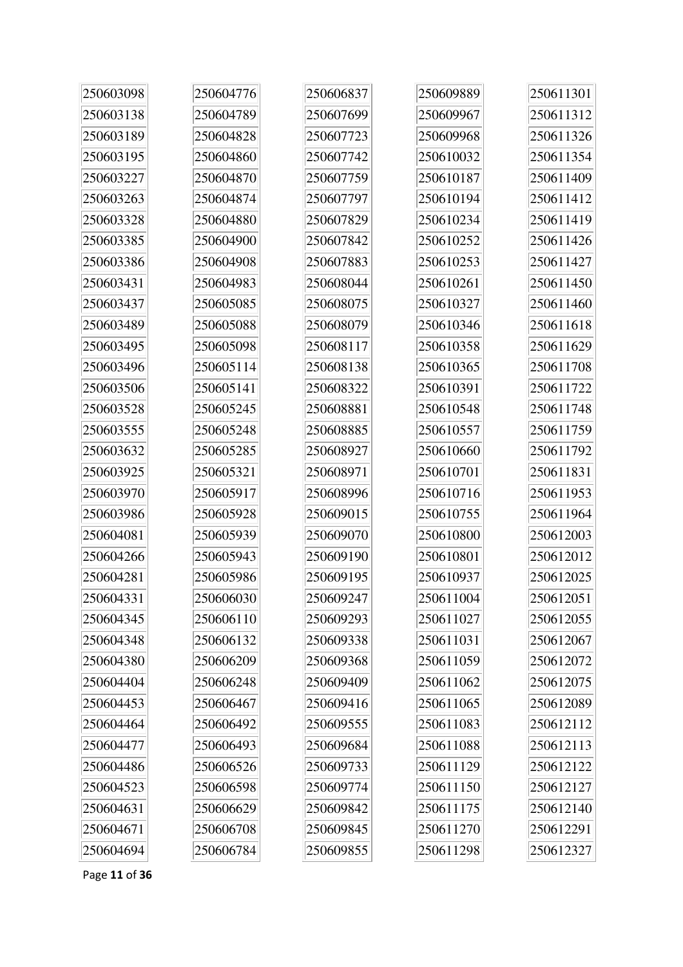| 250603098 | 250604776 | 250606837 | 250609889 | 250611301 |
|-----------|-----------|-----------|-----------|-----------|
| 250603138 | 250604789 | 250607699 | 250609967 | 250611312 |
| 250603189 | 250604828 | 250607723 | 250609968 | 250611326 |
| 250603195 | 250604860 | 250607742 | 250610032 | 250611354 |
| 250603227 | 250604870 | 250607759 | 250610187 | 250611409 |
| 250603263 | 250604874 | 250607797 | 250610194 | 250611412 |
| 250603328 | 250604880 | 250607829 | 250610234 | 250611419 |
| 250603385 | 250604900 | 250607842 | 250610252 | 250611426 |
| 250603386 | 250604908 | 250607883 | 250610253 | 250611427 |
| 250603431 | 250604983 | 250608044 | 250610261 | 250611450 |
| 250603437 | 250605085 | 250608075 | 250610327 | 250611460 |
| 250603489 | 250605088 | 250608079 | 250610346 | 250611618 |
| 250603495 | 250605098 | 250608117 | 250610358 | 250611629 |
| 250603496 | 250605114 | 250608138 | 250610365 | 250611708 |
| 250603506 | 250605141 | 250608322 | 250610391 | 250611722 |
| 250603528 | 250605245 | 250608881 | 250610548 | 250611748 |
| 250603555 | 250605248 | 250608885 | 250610557 | 250611759 |
| 250603632 | 250605285 | 250608927 | 250610660 | 250611792 |
| 250603925 | 250605321 | 250608971 | 250610701 | 250611831 |
| 250603970 | 250605917 | 250608996 | 250610716 | 250611953 |
| 250603986 | 250605928 | 250609015 | 250610755 | 250611964 |
| 250604081 | 250605939 | 250609070 | 250610800 | 250612003 |
| 250604266 | 250605943 | 250609190 | 250610801 | 250612012 |
| 250604281 | 250605986 | 250609195 | 250610937 | 250612025 |
| 250604331 | 250606030 | 250609247 | 250611004 | 250612051 |
| 250604345 | 250606110 | 250609293 | 250611027 | 250612055 |
| 250604348 | 250606132 | 250609338 | 250611031 | 250612067 |
| 250604380 | 250606209 | 250609368 | 250611059 | 250612072 |
| 250604404 | 250606248 | 250609409 | 250611062 | 250612075 |
| 250604453 | 250606467 | 250609416 | 250611065 | 250612089 |
| 250604464 | 250606492 | 250609555 | 250611083 | 250612112 |
| 250604477 | 250606493 | 250609684 | 250611088 | 250612113 |
| 250604486 | 250606526 | 250609733 | 250611129 | 250612122 |
| 250604523 | 250606598 | 250609774 | 250611150 | 250612127 |
| 250604631 | 250606629 | 250609842 | 250611175 | 250612140 |
| 250604671 | 250606708 | 250609845 | 250611270 | 250612291 |
| 250604694 | 250606784 | 250609855 | 250611298 | 250612327 |

Page **11** of **36**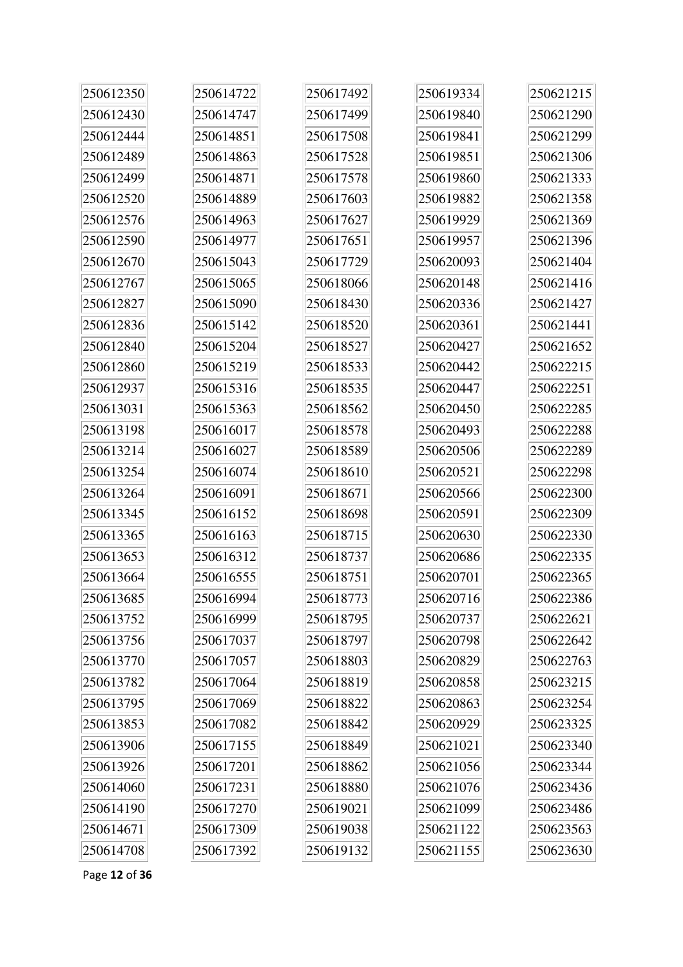| 250612350 | 250614722 | 250617492 | 250619334 | 250621215 |
|-----------|-----------|-----------|-----------|-----------|
| 250612430 | 250614747 | 250617499 | 250619840 | 250621290 |
| 250612444 | 250614851 | 250617508 | 250619841 | 250621299 |
| 250612489 | 250614863 | 250617528 | 250619851 | 250621306 |
| 250612499 | 250614871 | 250617578 | 250619860 | 250621333 |
| 250612520 | 250614889 | 250617603 | 250619882 | 250621358 |
| 250612576 | 250614963 | 250617627 | 250619929 | 250621369 |
| 250612590 | 250614977 | 250617651 | 250619957 | 250621396 |
| 250612670 | 250615043 | 250617729 | 250620093 | 250621404 |
| 250612767 | 250615065 | 250618066 | 250620148 | 250621416 |
| 250612827 | 250615090 | 250618430 | 250620336 | 250621427 |
| 250612836 | 250615142 | 250618520 | 250620361 | 250621441 |
| 250612840 | 250615204 | 250618527 | 250620427 | 250621652 |
| 250612860 | 250615219 | 250618533 | 250620442 | 250622215 |
| 250612937 | 250615316 | 250618535 | 250620447 | 250622251 |
| 250613031 | 250615363 | 250618562 | 250620450 | 250622285 |
| 250613198 | 250616017 | 250618578 | 250620493 | 250622288 |
| 250613214 | 250616027 | 250618589 | 250620506 | 250622289 |
| 250613254 | 250616074 | 250618610 | 250620521 | 250622298 |
| 250613264 | 250616091 | 250618671 | 250620566 | 250622300 |
| 250613345 | 250616152 | 250618698 | 250620591 | 250622309 |
| 250613365 | 250616163 | 250618715 | 250620630 | 250622330 |
| 250613653 | 250616312 | 250618737 | 250620686 | 250622335 |
| 250613664 | 250616555 | 250618751 | 250620701 | 250622365 |
| 250613685 | 250616994 | 250618773 | 250620716 | 250622386 |
| 250613752 | 250616999 | 250618795 | 250620737 | 250622621 |
| 250613756 | 250617037 | 250618797 | 250620798 | 250622642 |
| 250613770 | 250617057 | 250618803 | 250620829 | 250622763 |
| 250613782 | 250617064 | 250618819 | 250620858 | 250623215 |
| 250613795 | 250617069 | 250618822 | 250620863 | 250623254 |
| 250613853 | 250617082 | 250618842 | 250620929 | 250623325 |
| 250613906 | 250617155 | 250618849 | 250621021 | 250623340 |
| 250613926 | 250617201 | 250618862 | 250621056 | 250623344 |
| 250614060 | 250617231 | 250618880 | 250621076 | 250623436 |
| 250614190 | 250617270 | 250619021 | 250621099 | 250623486 |
| 250614671 | 250617309 | 250619038 | 250621122 | 250623563 |
| 250614708 | 250617392 | 250619132 | 250621155 | 250623630 |

Page **12** of **36**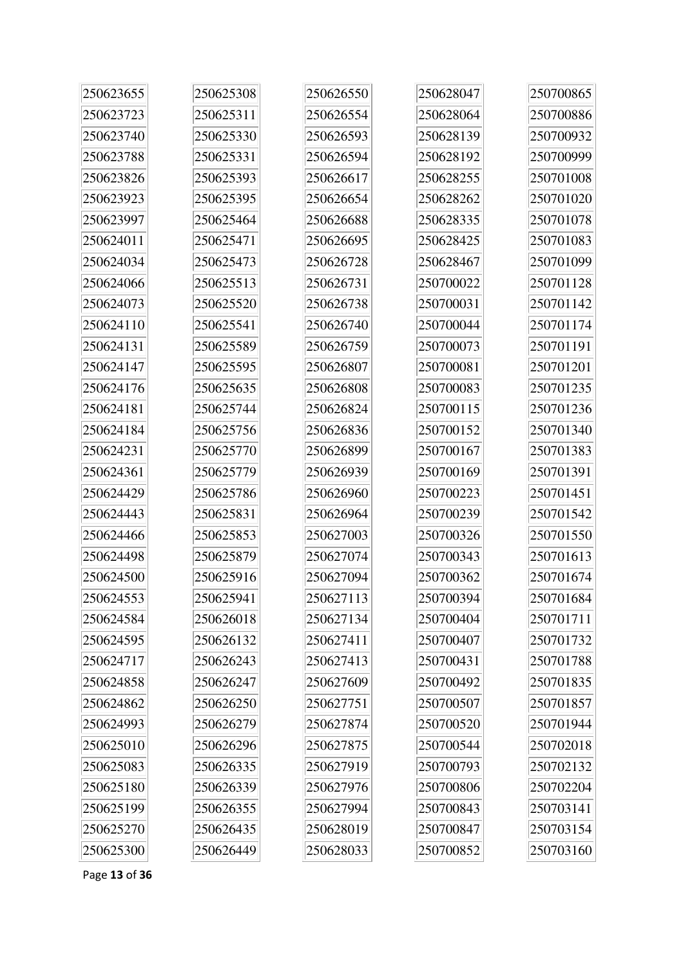| 250623655 | 250625308 | 250626550 | 250628047 | 250700865 |
|-----------|-----------|-----------|-----------|-----------|
| 250623723 | 250625311 | 250626554 | 250628064 | 250700886 |
| 250623740 | 250625330 | 250626593 | 250628139 | 250700932 |
| 250623788 | 250625331 | 250626594 | 250628192 | 250700999 |
| 250623826 | 250625393 | 250626617 | 250628255 | 250701008 |
| 250623923 | 250625395 | 250626654 | 250628262 | 250701020 |
| 250623997 | 250625464 | 250626688 | 250628335 | 250701078 |
| 250624011 | 250625471 | 250626695 | 250628425 | 250701083 |
| 250624034 | 250625473 | 250626728 | 250628467 | 250701099 |
| 250624066 | 250625513 | 250626731 | 250700022 | 250701128 |
| 250624073 | 250625520 | 250626738 | 250700031 | 250701142 |
| 250624110 | 250625541 | 250626740 | 250700044 | 250701174 |
| 250624131 | 250625589 | 250626759 | 250700073 | 250701191 |
| 250624147 | 250625595 | 250626807 | 250700081 | 250701201 |
| 250624176 | 250625635 | 250626808 | 250700083 | 250701235 |
| 250624181 | 250625744 | 250626824 | 250700115 | 250701236 |
| 250624184 | 250625756 | 250626836 | 250700152 | 250701340 |
| 250624231 | 250625770 | 250626899 | 250700167 | 250701383 |
| 250624361 | 250625779 | 250626939 | 250700169 | 250701391 |
| 250624429 | 250625786 | 250626960 | 250700223 | 250701451 |
| 250624443 | 250625831 | 250626964 | 250700239 | 250701542 |
| 250624466 | 250625853 | 250627003 | 250700326 | 250701550 |
| 250624498 | 250625879 | 250627074 | 250700343 | 250701613 |
| 250624500 | 250625916 | 250627094 | 250700362 | 250701674 |
| 250624553 | 250625941 | 250627113 | 250700394 | 250701684 |
| 250624584 | 250626018 | 250627134 | 250700404 | 250701711 |
| 250624595 | 250626132 | 250627411 | 250700407 | 250701732 |
| 250624717 | 250626243 | 250627413 | 250700431 | 250701788 |
| 250624858 | 250626247 | 250627609 | 250700492 | 250701835 |
| 250624862 | 250626250 | 250627751 | 250700507 | 250701857 |
| 250624993 | 250626279 | 250627874 | 250700520 | 250701944 |
| 250625010 | 250626296 | 250627875 | 250700544 | 250702018 |
| 250625083 | 250626335 | 250627919 | 250700793 | 250702132 |
| 250625180 | 250626339 | 250627976 | 250700806 | 250702204 |
| 250625199 | 250626355 | 250627994 | 250700843 | 250703141 |
| 250625270 | 250626435 | 250628019 | 250700847 | 250703154 |
| 250625300 | 250626449 | 250628033 | 250700852 | 250703160 |

Page **13** of **36**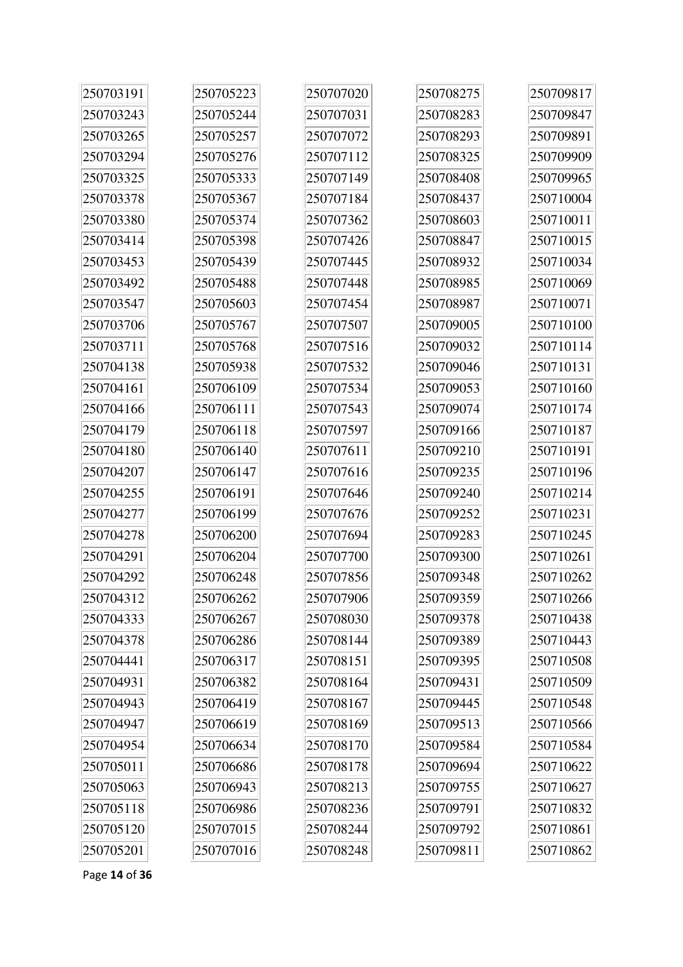| 250703191 | 250705223 | 250707020 | 250708275 | 250709817 |
|-----------|-----------|-----------|-----------|-----------|
| 250703243 | 250705244 | 250707031 | 250708283 | 250709847 |
| 250703265 | 250705257 | 250707072 | 250708293 | 250709891 |
| 250703294 | 250705276 | 250707112 | 250708325 | 250709909 |
| 250703325 | 250705333 | 250707149 | 250708408 | 250709965 |
| 250703378 | 250705367 | 250707184 | 250708437 | 250710004 |
| 250703380 | 250705374 | 250707362 | 250708603 | 250710011 |
| 250703414 | 250705398 | 250707426 | 250708847 | 250710015 |
| 250703453 | 250705439 | 250707445 | 250708932 | 250710034 |
| 250703492 | 250705488 | 250707448 | 250708985 | 250710069 |
| 250703547 | 250705603 | 250707454 | 250708987 | 250710071 |
| 250703706 | 250705767 | 250707507 | 250709005 | 250710100 |
| 250703711 | 250705768 | 250707516 | 250709032 | 250710114 |
| 250704138 | 250705938 | 250707532 | 250709046 | 250710131 |
| 250704161 | 250706109 | 250707534 | 250709053 | 250710160 |
| 250704166 | 250706111 | 250707543 | 250709074 | 250710174 |
| 250704179 | 250706118 | 250707597 | 250709166 | 250710187 |
| 250704180 | 250706140 | 250707611 | 250709210 | 250710191 |
| 250704207 | 250706147 | 250707616 | 250709235 | 250710196 |
| 250704255 | 250706191 | 250707646 | 250709240 | 250710214 |
| 250704277 | 250706199 | 250707676 | 250709252 | 250710231 |
| 250704278 | 250706200 | 250707694 | 250709283 | 250710245 |
| 250704291 | 250706204 | 250707700 | 250709300 | 250710261 |
| 250704292 | 250706248 | 250707856 | 250709348 | 250710262 |
| 250704312 | 250706262 | 250707906 | 250709359 | 250710266 |
| 250704333 | 250706267 | 250708030 | 250709378 | 250710438 |
| 250704378 | 250706286 | 250708144 | 250709389 | 250710443 |
| 250704441 | 250706317 | 250708151 | 250709395 | 250710508 |
| 250704931 | 250706382 | 250708164 | 250709431 | 250710509 |
| 250704943 | 250706419 | 250708167 | 250709445 | 250710548 |
| 250704947 | 250706619 | 250708169 | 250709513 | 250710566 |
| 250704954 | 250706634 | 250708170 | 250709584 | 250710584 |
| 250705011 | 250706686 | 250708178 | 250709694 | 250710622 |
| 250705063 | 250706943 | 250708213 | 250709755 | 250710627 |
| 250705118 | 250706986 | 250708236 | 250709791 | 250710832 |
| 250705120 | 250707015 | 250708244 | 250709792 | 250710861 |
| 250705201 | 250707016 | 250708248 | 250709811 | 250710862 |

Page **14** of **36**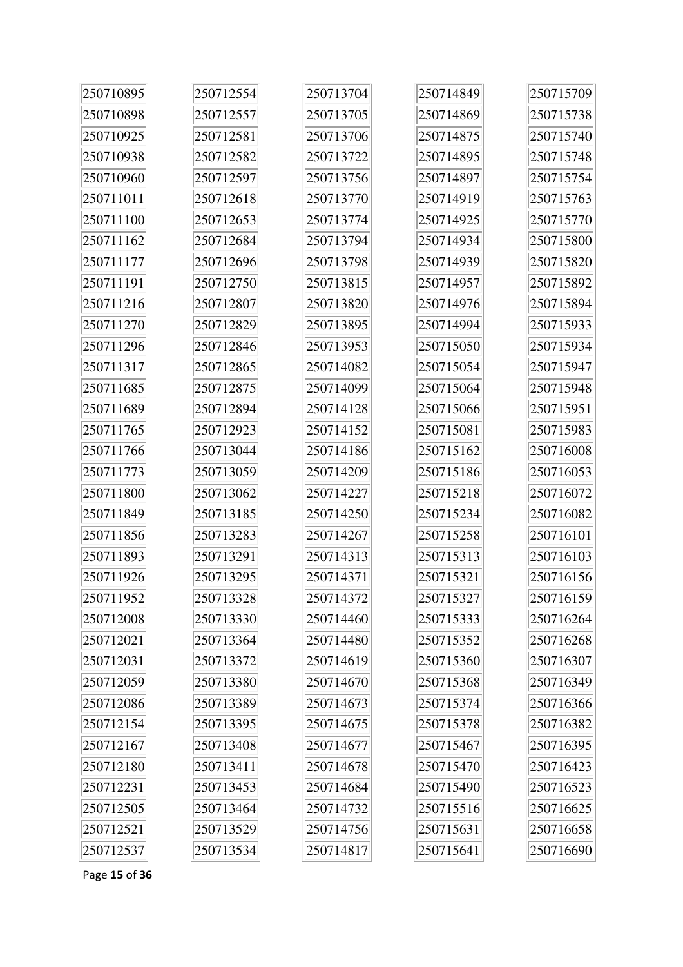| 250710895 | 250712554 | 250713704 | 250714849 | 250715709 |
|-----------|-----------|-----------|-----------|-----------|
| 250710898 | 250712557 | 250713705 | 250714869 | 250715738 |
| 250710925 | 250712581 | 250713706 | 250714875 | 250715740 |
| 250710938 | 250712582 | 250713722 | 250714895 | 250715748 |
| 250710960 | 250712597 | 250713756 | 250714897 | 250715754 |
| 250711011 | 250712618 | 250713770 | 250714919 | 250715763 |
| 250711100 | 250712653 | 250713774 | 250714925 | 250715770 |
| 250711162 | 250712684 | 250713794 | 250714934 | 250715800 |
| 250711177 | 250712696 | 250713798 | 250714939 | 250715820 |
| 250711191 | 250712750 | 250713815 | 250714957 | 250715892 |
| 250711216 | 250712807 | 250713820 | 250714976 | 250715894 |
| 250711270 | 250712829 | 250713895 | 250714994 | 250715933 |
| 250711296 | 250712846 | 250713953 | 250715050 | 250715934 |
| 250711317 | 250712865 | 250714082 | 250715054 | 250715947 |
| 250711685 | 250712875 | 250714099 | 250715064 | 250715948 |
| 250711689 | 250712894 | 250714128 | 250715066 | 250715951 |
| 250711765 | 250712923 | 250714152 | 250715081 | 250715983 |
| 250711766 | 250713044 | 250714186 | 250715162 | 250716008 |
| 250711773 | 250713059 | 250714209 | 250715186 | 250716053 |
| 250711800 | 250713062 | 250714227 | 250715218 | 250716072 |
| 250711849 | 250713185 | 250714250 | 250715234 | 250716082 |
| 250711856 | 250713283 | 250714267 | 250715258 | 250716101 |
| 250711893 | 250713291 | 250714313 | 250715313 | 250716103 |
| 250711926 | 250713295 | 250714371 | 250715321 | 250716156 |
| 250711952 | 250713328 | 250714372 | 250715327 | 250716159 |
| 250712008 | 250713330 | 250714460 | 250715333 | 250716264 |
| 250712021 | 250713364 | 250714480 | 250715352 | 250716268 |
| 250712031 | 250713372 | 250714619 | 250715360 | 250716307 |
| 250712059 | 250713380 | 250714670 | 250715368 | 250716349 |
| 250712086 | 250713389 | 250714673 | 250715374 | 250716366 |
| 250712154 | 250713395 | 250714675 | 250715378 | 250716382 |
| 250712167 | 250713408 | 250714677 | 250715467 | 250716395 |
| 250712180 | 250713411 | 250714678 | 250715470 | 250716423 |
| 250712231 | 250713453 | 250714684 | 250715490 | 250716523 |
| 250712505 | 250713464 | 250714732 | 250715516 | 250716625 |
| 250712521 | 250713529 | 250714756 | 250715631 | 250716658 |
| 250712537 | 250713534 | 250714817 | 250715641 | 250716690 |

Page **15** of **36**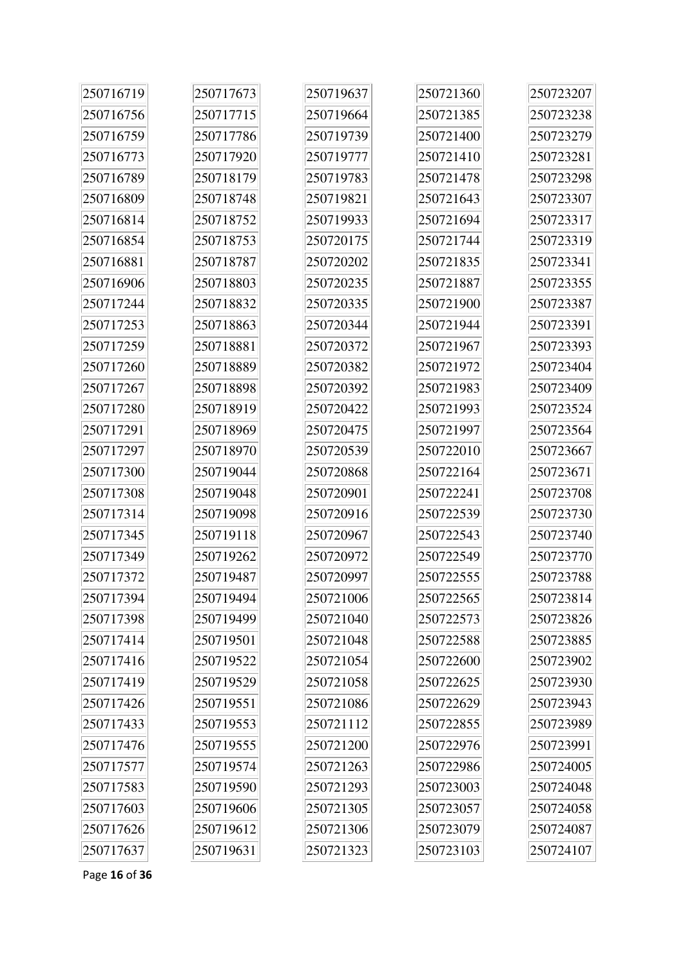| 250716719 | 250717673 | 250719637 | 250721360 | 250723207 |
|-----------|-----------|-----------|-----------|-----------|
| 250716756 | 250717715 | 250719664 | 250721385 | 250723238 |
| 250716759 | 250717786 | 250719739 | 250721400 | 250723279 |
| 250716773 | 250717920 | 250719777 | 250721410 | 250723281 |
| 250716789 | 250718179 | 250719783 | 250721478 | 250723298 |
| 250716809 | 250718748 | 250719821 | 250721643 | 250723307 |
| 250716814 | 250718752 | 250719933 | 250721694 | 250723317 |
| 250716854 | 250718753 | 250720175 | 250721744 | 250723319 |
| 250716881 | 250718787 | 250720202 | 250721835 | 250723341 |
| 250716906 | 250718803 | 250720235 | 250721887 | 250723355 |
| 250717244 | 250718832 | 250720335 | 250721900 | 250723387 |
| 250717253 | 250718863 | 250720344 | 250721944 | 250723391 |
| 250717259 | 250718881 | 250720372 | 250721967 | 250723393 |
| 250717260 | 250718889 | 250720382 | 250721972 | 250723404 |
| 250717267 | 250718898 | 250720392 | 250721983 | 250723409 |
| 250717280 | 250718919 | 250720422 | 250721993 | 250723524 |
| 250717291 | 250718969 | 250720475 | 250721997 | 250723564 |
| 250717297 | 250718970 | 250720539 | 250722010 | 250723667 |
| 250717300 | 250719044 | 250720868 | 250722164 | 250723671 |
| 250717308 | 250719048 | 250720901 | 250722241 | 250723708 |
| 250717314 | 250719098 | 250720916 | 250722539 | 250723730 |
| 250717345 | 250719118 | 250720967 | 250722543 | 250723740 |
| 250717349 | 250719262 | 250720972 | 250722549 | 250723770 |
| 250717372 | 250719487 | 250720997 | 250722555 | 250723788 |
| 250717394 | 250719494 | 250721006 | 250722565 | 250723814 |
| 250717398 | 250719499 | 250721040 | 250722573 | 250723826 |
| 250717414 | 250719501 | 250721048 | 250722588 | 250723885 |
| 250717416 | 250719522 | 250721054 | 250722600 | 250723902 |
| 250717419 | 250719529 | 250721058 | 250722625 | 250723930 |
| 250717426 | 250719551 | 250721086 | 250722629 | 250723943 |
| 250717433 | 250719553 | 250721112 | 250722855 | 250723989 |
| 250717476 | 250719555 | 250721200 | 250722976 | 250723991 |
| 250717577 | 250719574 | 250721263 | 250722986 | 250724005 |
| 250717583 | 250719590 | 250721293 | 250723003 | 250724048 |
| 250717603 | 250719606 | 250721305 | 250723057 | 250724058 |
| 250717626 | 250719612 | 250721306 | 250723079 | 250724087 |
| 250717637 | 250719631 | 250721323 | 250723103 | 250724107 |

Page **16** of **36**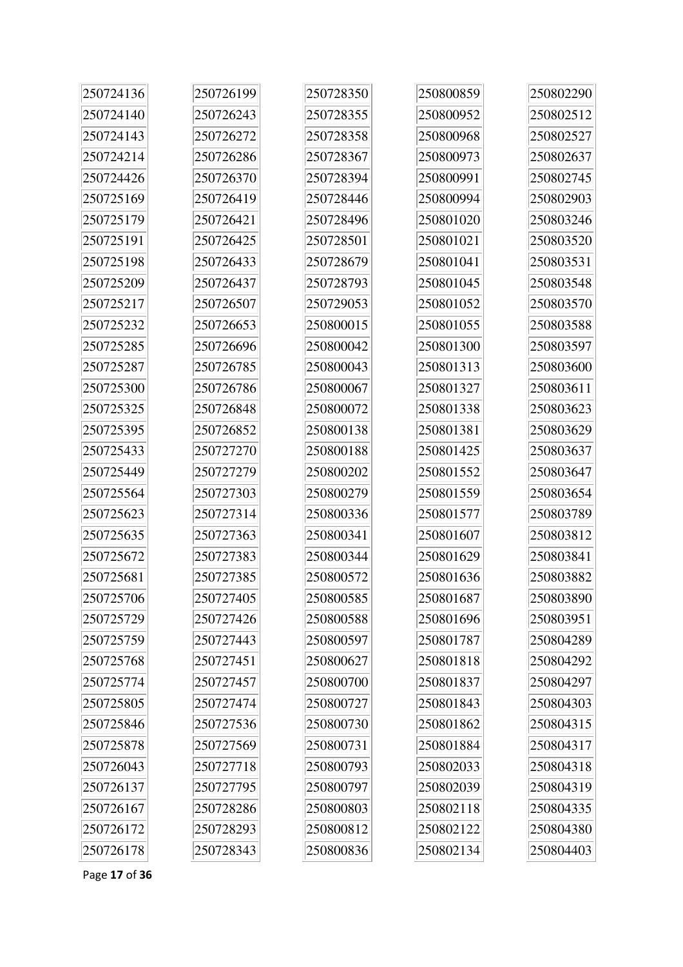| 250724136 | 250726199 | 250728350 | 250800859 | 250802290 |
|-----------|-----------|-----------|-----------|-----------|
| 250724140 | 250726243 | 250728355 | 250800952 | 250802512 |
| 250724143 | 250726272 | 250728358 | 250800968 | 250802527 |
| 250724214 | 250726286 | 250728367 | 250800973 | 250802637 |
| 250724426 | 250726370 | 250728394 | 250800991 | 250802745 |
| 250725169 | 250726419 | 250728446 | 250800994 | 250802903 |
| 250725179 | 250726421 | 250728496 | 250801020 | 250803246 |
| 250725191 | 250726425 | 250728501 | 250801021 | 250803520 |
| 250725198 | 250726433 | 250728679 | 250801041 | 250803531 |
| 250725209 | 250726437 | 250728793 | 250801045 | 250803548 |
| 250725217 | 250726507 | 250729053 | 250801052 | 250803570 |
| 250725232 | 250726653 | 250800015 | 250801055 | 250803588 |
| 250725285 | 250726696 | 250800042 | 250801300 | 250803597 |
| 250725287 | 250726785 | 250800043 | 250801313 | 250803600 |
| 250725300 | 250726786 | 250800067 | 250801327 | 250803611 |
| 250725325 | 250726848 | 250800072 | 250801338 | 250803623 |
| 250725395 | 250726852 | 250800138 | 250801381 | 250803629 |
| 250725433 | 250727270 | 250800188 | 250801425 | 250803637 |
| 250725449 | 250727279 | 250800202 | 250801552 | 250803647 |
| 250725564 | 250727303 | 250800279 | 250801559 | 250803654 |
| 250725623 | 250727314 | 250800336 | 250801577 | 250803789 |
| 250725635 | 250727363 | 250800341 | 250801607 | 250803812 |
| 250725672 | 250727383 | 250800344 | 250801629 | 250803841 |
| 250725681 | 250727385 | 250800572 | 250801636 | 250803882 |
| 250725706 | 250727405 | 250800585 | 250801687 | 250803890 |
| 250725729 | 250727426 | 250800588 | 250801696 | 250803951 |
| 250725759 | 250727443 | 250800597 | 250801787 | 250804289 |
| 250725768 | 250727451 | 250800627 | 250801818 | 250804292 |
| 250725774 | 250727457 | 250800700 | 250801837 | 250804297 |
| 250725805 | 250727474 | 250800727 | 250801843 | 250804303 |
| 250725846 | 250727536 | 250800730 | 250801862 | 250804315 |
| 250725878 | 250727569 | 250800731 | 250801884 | 250804317 |
| 250726043 | 250727718 | 250800793 | 250802033 | 250804318 |
| 250726137 | 250727795 | 250800797 | 250802039 | 250804319 |
| 250726167 | 250728286 | 250800803 | 250802118 | 250804335 |
| 250726172 | 250728293 | 250800812 | 250802122 | 250804380 |
| 250726178 | 250728343 | 250800836 | 250802134 | 250804403 |

Page **17** of **36**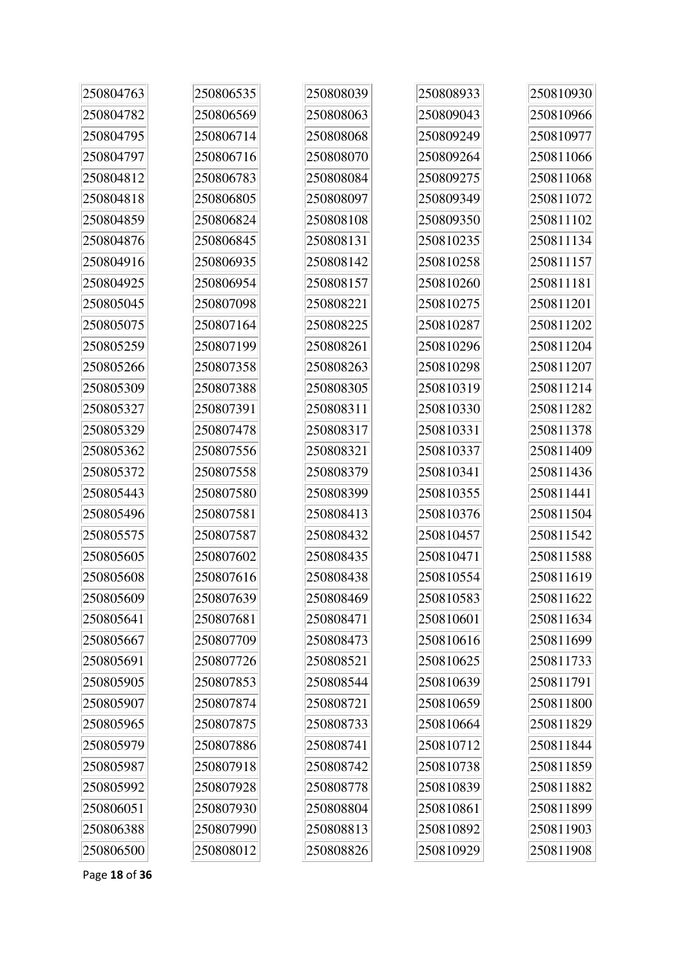| 250804763 | 250806535 | 250808039 | 250808933 | 250810930 |
|-----------|-----------|-----------|-----------|-----------|
| 250804782 | 250806569 | 250808063 | 250809043 | 250810966 |
| 250804795 | 250806714 | 250808068 | 250809249 | 250810977 |
| 250804797 | 250806716 | 250808070 | 250809264 | 250811066 |
| 250804812 | 250806783 | 250808084 | 250809275 | 250811068 |
| 250804818 | 250806805 | 250808097 | 250809349 | 250811072 |
| 250804859 | 250806824 | 250808108 | 250809350 | 250811102 |
| 250804876 | 250806845 | 250808131 | 250810235 | 250811134 |
| 250804916 | 250806935 | 250808142 | 250810258 | 250811157 |
| 250804925 | 250806954 | 250808157 | 250810260 | 250811181 |
| 250805045 | 250807098 | 250808221 | 250810275 | 250811201 |
| 250805075 | 250807164 | 250808225 | 250810287 | 250811202 |
| 250805259 | 250807199 | 250808261 | 250810296 | 250811204 |
| 250805266 | 250807358 | 250808263 | 250810298 | 250811207 |
| 250805309 | 250807388 | 250808305 | 250810319 | 250811214 |
| 250805327 | 250807391 | 250808311 | 250810330 | 250811282 |
| 250805329 | 250807478 | 250808317 | 250810331 | 250811378 |
| 250805362 | 250807556 | 250808321 | 250810337 | 250811409 |
| 250805372 | 250807558 | 250808379 | 250810341 | 250811436 |
| 250805443 | 250807580 | 250808399 | 250810355 | 250811441 |
| 250805496 | 250807581 | 250808413 | 250810376 | 250811504 |
| 250805575 | 250807587 | 250808432 | 250810457 | 250811542 |
| 250805605 | 250807602 | 250808435 | 250810471 | 250811588 |
| 250805608 | 250807616 | 250808438 | 250810554 | 250811619 |
| 250805609 | 250807639 | 250808469 | 250810583 | 250811622 |
| 250805641 | 250807681 | 250808471 | 250810601 | 250811634 |
| 250805667 | 250807709 | 250808473 | 250810616 | 250811699 |
| 250805691 | 250807726 | 250808521 | 250810625 | 250811733 |
| 250805905 | 250807853 | 250808544 | 250810639 | 250811791 |
| 250805907 | 250807874 | 250808721 | 250810659 | 250811800 |
| 250805965 | 250807875 | 250808733 | 250810664 | 250811829 |
| 250805979 | 250807886 | 250808741 | 250810712 | 250811844 |
| 250805987 | 250807918 | 250808742 | 250810738 | 250811859 |
| 250805992 | 250807928 | 250808778 | 250810839 | 250811882 |
| 250806051 | 250807930 | 250808804 | 250810861 | 250811899 |
| 250806388 | 250807990 | 250808813 | 250810892 | 250811903 |
| 250806500 | 250808012 | 250808826 | 250810929 | 250811908 |

Page **18** of **36**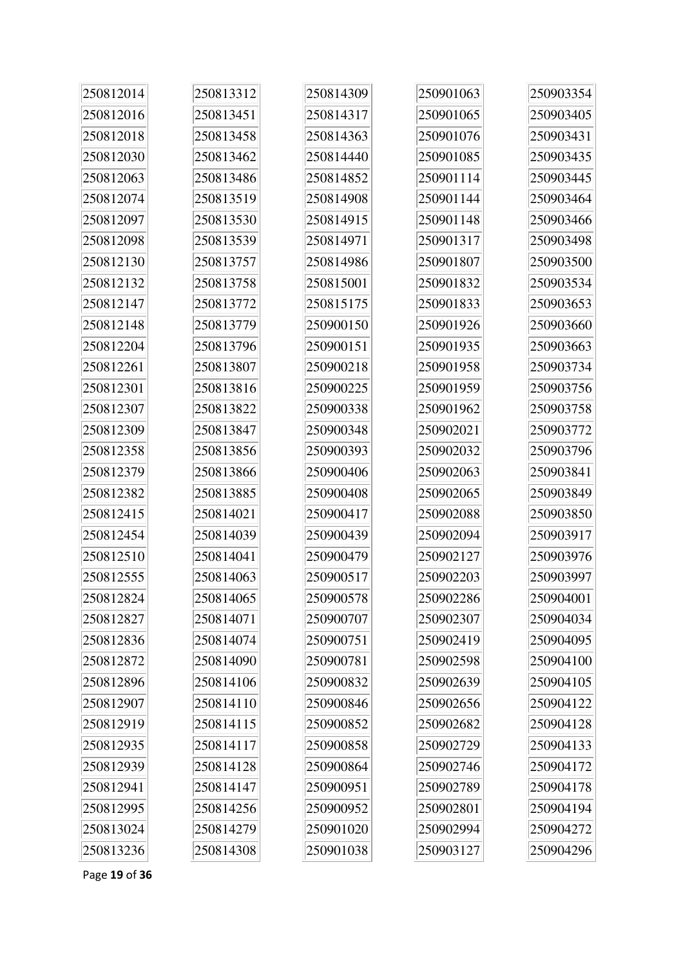| 250812014 | 250813312 | 250814309 | 250901063 | 250903354 |
|-----------|-----------|-----------|-----------|-----------|
| 250812016 | 250813451 | 250814317 | 250901065 | 250903405 |
| 250812018 | 250813458 | 250814363 | 250901076 | 250903431 |
| 250812030 | 250813462 | 250814440 | 250901085 | 250903435 |
| 250812063 | 250813486 | 250814852 | 250901114 | 250903445 |
| 250812074 | 250813519 | 250814908 | 250901144 | 250903464 |
| 250812097 | 250813530 | 250814915 | 250901148 | 250903466 |
| 250812098 | 250813539 | 250814971 | 250901317 | 250903498 |
| 250812130 | 250813757 | 250814986 | 250901807 | 250903500 |
| 250812132 | 250813758 | 250815001 | 250901832 | 250903534 |
| 250812147 | 250813772 | 250815175 | 250901833 | 250903653 |
| 250812148 | 250813779 | 250900150 | 250901926 | 250903660 |
| 250812204 | 250813796 | 250900151 | 250901935 | 250903663 |
| 250812261 | 250813807 | 250900218 | 250901958 | 250903734 |
| 250812301 | 250813816 | 250900225 | 250901959 | 250903756 |
| 250812307 | 250813822 | 250900338 | 250901962 | 250903758 |
| 250812309 | 250813847 | 250900348 | 250902021 | 250903772 |
| 250812358 | 250813856 | 250900393 | 250902032 | 250903796 |
| 250812379 | 250813866 | 250900406 | 250902063 | 250903841 |
| 250812382 | 250813885 | 250900408 | 250902065 | 250903849 |
| 250812415 | 250814021 | 250900417 | 250902088 | 250903850 |
| 250812454 | 250814039 | 250900439 | 250902094 | 250903917 |
| 250812510 | 250814041 | 250900479 | 250902127 | 250903976 |
| 250812555 | 250814063 | 250900517 | 250902203 | 250903997 |
| 250812824 | 250814065 | 250900578 | 250902286 | 250904001 |
| 250812827 | 250814071 | 250900707 | 250902307 | 250904034 |
| 250812836 | 250814074 | 250900751 | 250902419 | 250904095 |
| 250812872 | 250814090 | 250900781 | 250902598 | 250904100 |
| 250812896 | 250814106 | 250900832 | 250902639 | 250904105 |
| 250812907 | 250814110 | 250900846 | 250902656 | 250904122 |
| 250812919 | 250814115 | 250900852 | 250902682 | 250904128 |
| 250812935 | 250814117 | 250900858 | 250902729 | 250904133 |
| 250812939 | 250814128 | 250900864 | 250902746 | 250904172 |
| 250812941 | 250814147 | 250900951 | 250902789 | 250904178 |
| 250812995 | 250814256 | 250900952 | 250902801 | 250904194 |
| 250813024 | 250814279 | 250901020 | 250902994 | 250904272 |
| 250813236 | 250814308 | 250901038 | 250903127 | 250904296 |

Page **19** of **36**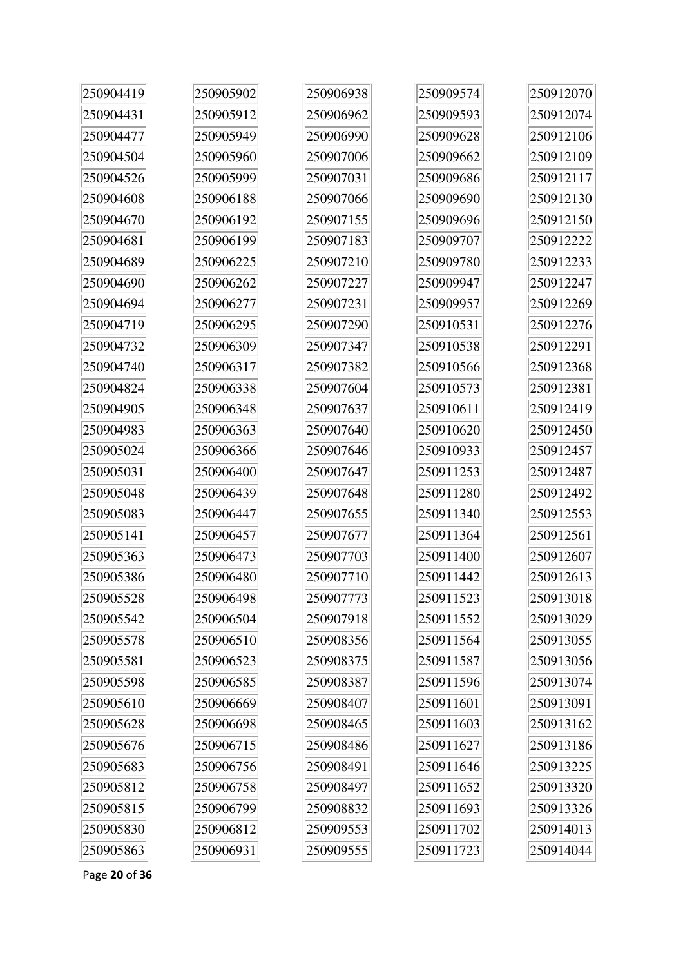| 250904419 | 250905902 | 250906938 | 250909574 | 250912070 |
|-----------|-----------|-----------|-----------|-----------|
| 250904431 | 250905912 | 250906962 | 250909593 | 250912074 |
| 250904477 | 250905949 | 250906990 | 250909628 | 250912106 |
| 250904504 | 250905960 | 250907006 | 250909662 | 250912109 |
| 250904526 | 250905999 | 250907031 | 250909686 | 250912117 |
| 250904608 | 250906188 | 250907066 | 250909690 | 250912130 |
| 250904670 | 250906192 | 250907155 | 250909696 | 250912150 |
| 250904681 | 250906199 | 250907183 | 250909707 | 250912222 |
| 250904689 | 250906225 | 250907210 | 250909780 | 250912233 |
| 250904690 | 250906262 | 250907227 | 250909947 | 250912247 |
| 250904694 | 250906277 | 250907231 | 250909957 | 250912269 |
| 250904719 | 250906295 | 250907290 | 250910531 | 250912276 |
| 250904732 | 250906309 | 250907347 | 250910538 | 250912291 |
| 250904740 | 250906317 | 250907382 | 250910566 | 250912368 |
| 250904824 | 250906338 | 250907604 | 250910573 | 250912381 |
| 250904905 | 250906348 | 250907637 | 250910611 | 250912419 |
| 250904983 | 250906363 | 250907640 | 250910620 | 250912450 |
| 250905024 | 250906366 | 250907646 | 250910933 | 250912457 |
| 250905031 | 250906400 | 250907647 | 250911253 | 250912487 |
| 250905048 | 250906439 | 250907648 | 250911280 | 250912492 |
| 250905083 | 250906447 | 250907655 | 250911340 | 250912553 |
| 250905141 | 250906457 | 250907677 | 250911364 | 250912561 |
| 250905363 | 250906473 | 250907703 | 250911400 | 250912607 |
| 250905386 | 250906480 | 250907710 | 250911442 | 250912613 |
| 250905528 | 250906498 | 250907773 | 250911523 | 250913018 |
| 250905542 | 250906504 | 250907918 | 250911552 | 250913029 |
| 250905578 | 250906510 | 250908356 | 250911564 | 250913055 |
| 250905581 | 250906523 | 250908375 | 250911587 | 250913056 |
| 250905598 | 250906585 | 250908387 | 250911596 | 250913074 |
| 250905610 | 250906669 | 250908407 | 250911601 | 250913091 |
| 250905628 | 250906698 | 250908465 | 250911603 | 250913162 |
| 250905676 | 250906715 | 250908486 | 250911627 | 250913186 |
| 250905683 | 250906756 | 250908491 | 250911646 | 250913225 |
| 250905812 | 250906758 | 250908497 | 250911652 | 250913320 |
| 250905815 | 250906799 | 250908832 | 250911693 | 250913326 |
| 250905830 | 250906812 | 250909553 | 250911702 | 250914013 |
| 250905863 | 250906931 | 250909555 | 250911723 | 250914044 |

Page **20** of **36**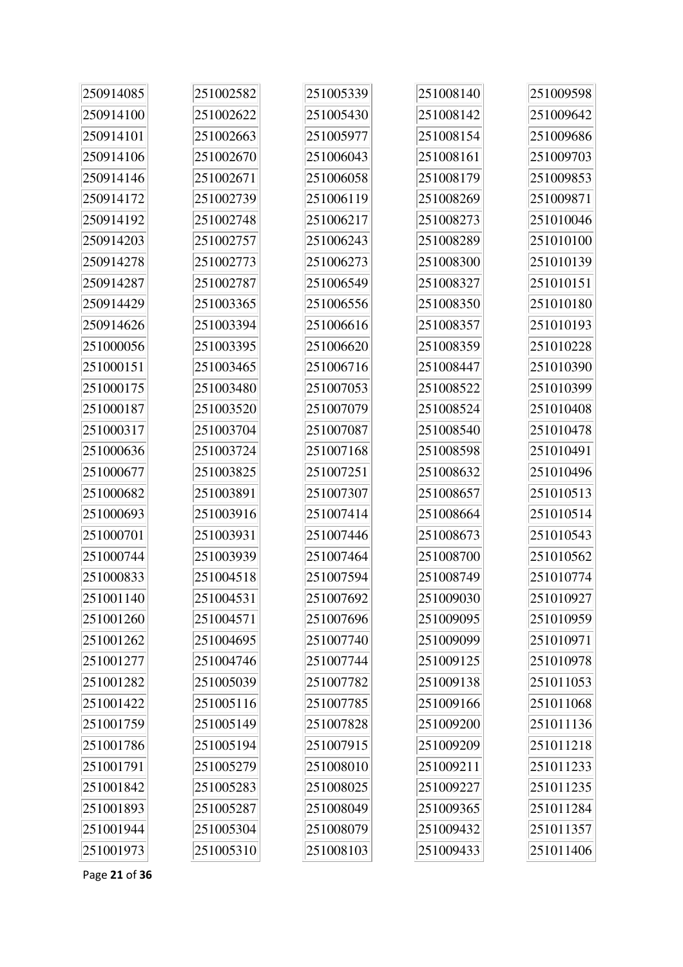| 250914085 | 251002582 | 251005339 | 251008140 | 251009598 |
|-----------|-----------|-----------|-----------|-----------|
| 250914100 | 251002622 | 251005430 | 251008142 | 251009642 |
| 250914101 | 251002663 | 251005977 | 251008154 | 251009686 |
| 250914106 | 251002670 | 251006043 | 251008161 | 251009703 |
| 250914146 | 251002671 | 251006058 | 251008179 | 251009853 |
| 250914172 | 251002739 | 251006119 | 251008269 | 251009871 |
| 250914192 | 251002748 | 251006217 | 251008273 | 251010046 |
| 250914203 | 251002757 | 251006243 | 251008289 | 251010100 |
| 250914278 | 251002773 | 251006273 | 251008300 | 251010139 |
| 250914287 | 251002787 | 251006549 | 251008327 | 251010151 |
| 250914429 | 251003365 | 251006556 | 251008350 | 251010180 |
| 250914626 | 251003394 | 251006616 | 251008357 | 251010193 |
| 251000056 | 251003395 | 251006620 | 251008359 | 251010228 |
| 251000151 | 251003465 | 251006716 | 251008447 | 251010390 |
| 251000175 | 251003480 | 251007053 | 251008522 | 251010399 |
| 251000187 | 251003520 | 251007079 | 251008524 | 251010408 |
| 251000317 | 251003704 | 251007087 | 251008540 | 251010478 |
| 251000636 | 251003724 | 251007168 | 251008598 | 251010491 |
| 251000677 | 251003825 | 251007251 | 251008632 | 251010496 |
| 251000682 | 251003891 | 251007307 | 251008657 | 251010513 |
| 251000693 | 251003916 | 251007414 | 251008664 | 251010514 |
| 251000701 | 251003931 | 251007446 | 251008673 | 251010543 |
| 251000744 | 251003939 | 251007464 | 251008700 | 251010562 |
| 251000833 | 251004518 | 251007594 | 251008749 | 251010774 |
| 251001140 | 251004531 | 251007692 | 251009030 | 251010927 |
| 251001260 | 251004571 | 251007696 | 251009095 | 251010959 |
| 251001262 | 251004695 | 251007740 | 251009099 | 251010971 |
| 251001277 | 251004746 | 251007744 | 251009125 | 251010978 |
| 251001282 | 251005039 | 251007782 | 251009138 | 251011053 |
| 251001422 | 251005116 | 251007785 | 251009166 | 251011068 |
| 251001759 | 251005149 | 251007828 | 251009200 | 251011136 |
| 251001786 | 251005194 | 251007915 | 251009209 | 251011218 |
| 251001791 | 251005279 | 251008010 | 251009211 | 251011233 |
| 251001842 | 251005283 | 251008025 | 251009227 | 251011235 |
| 251001893 | 251005287 | 251008049 | 251009365 | 251011284 |
| 251001944 | 251005304 | 251008079 | 251009432 | 251011357 |
| 251001973 | 251005310 | 251008103 | 251009433 | 251011406 |

Page **21** of **36**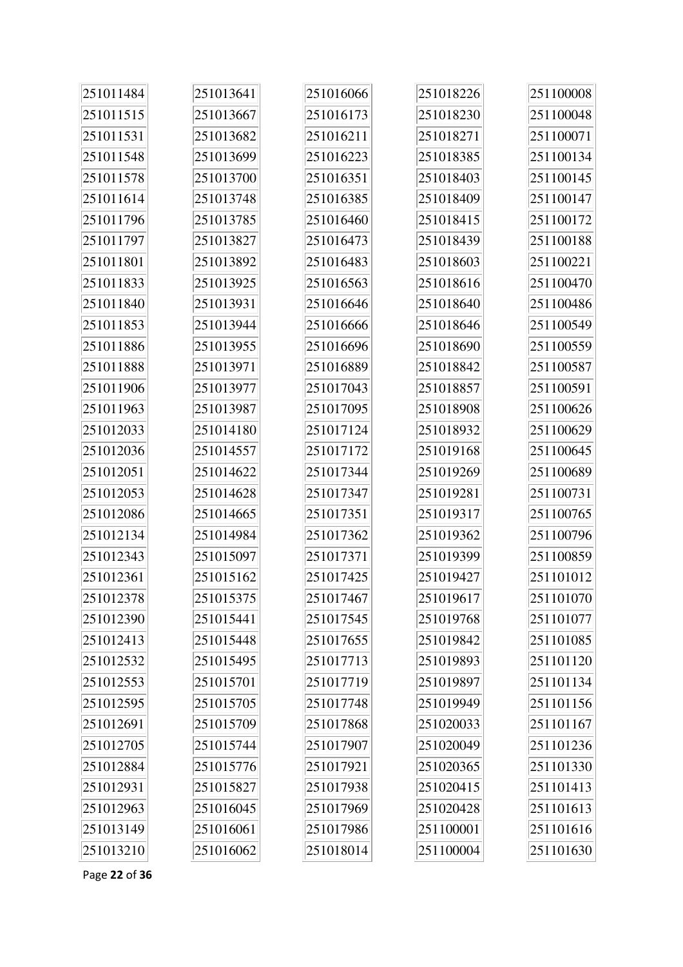| 251011484 | 251013641 | 251016066 | 251018226 | 251100008 |
|-----------|-----------|-----------|-----------|-----------|
| 251011515 | 251013667 | 251016173 | 251018230 | 251100048 |
| 251011531 | 251013682 | 251016211 | 251018271 | 251100071 |
| 251011548 | 251013699 | 251016223 | 251018385 | 251100134 |
| 251011578 | 251013700 | 251016351 | 251018403 | 251100145 |
| 251011614 | 251013748 | 251016385 | 251018409 | 251100147 |
| 251011796 | 251013785 | 251016460 | 251018415 | 251100172 |
| 251011797 | 251013827 | 251016473 | 251018439 | 251100188 |
| 251011801 | 251013892 | 251016483 | 251018603 | 251100221 |
| 251011833 | 251013925 | 251016563 | 251018616 | 251100470 |
| 251011840 | 251013931 | 251016646 | 251018640 | 251100486 |
| 251011853 | 251013944 | 251016666 | 251018646 | 251100549 |
| 251011886 | 251013955 | 251016696 | 251018690 | 251100559 |
| 251011888 | 251013971 | 251016889 | 251018842 | 251100587 |
| 251011906 | 251013977 | 251017043 | 251018857 | 251100591 |
| 251011963 | 251013987 | 251017095 | 251018908 | 251100626 |
| 251012033 | 251014180 | 251017124 | 251018932 | 251100629 |
| 251012036 | 251014557 | 251017172 | 251019168 | 251100645 |
| 251012051 | 251014622 | 251017344 | 251019269 | 251100689 |
| 251012053 | 251014628 | 251017347 | 251019281 | 251100731 |
| 251012086 | 251014665 | 251017351 | 251019317 | 251100765 |
| 251012134 | 251014984 | 251017362 | 251019362 | 251100796 |
| 251012343 | 251015097 | 251017371 | 251019399 | 251100859 |
| 251012361 | 251015162 | 251017425 | 251019427 | 251101012 |
| 251012378 | 251015375 | 251017467 | 251019617 | 251101070 |
| 251012390 | 251015441 | 251017545 | 251019768 | 251101077 |
| 251012413 | 251015448 | 251017655 | 251019842 | 251101085 |
| 251012532 | 251015495 | 251017713 | 251019893 | 251101120 |
| 251012553 | 251015701 | 251017719 | 251019897 | 251101134 |
| 251012595 | 251015705 | 251017748 | 251019949 | 251101156 |
| 251012691 | 251015709 | 251017868 | 251020033 | 251101167 |
| 251012705 | 251015744 | 251017907 | 251020049 | 251101236 |
| 251012884 | 251015776 | 251017921 | 251020365 | 251101330 |
| 251012931 | 251015827 | 251017938 | 251020415 | 251101413 |
| 251012963 | 251016045 | 251017969 | 251020428 | 251101613 |
| 251013149 | 251016061 | 251017986 | 251100001 | 251101616 |
| 251013210 | 251016062 | 251018014 | 251100004 | 251101630 |

Page **22** of **36**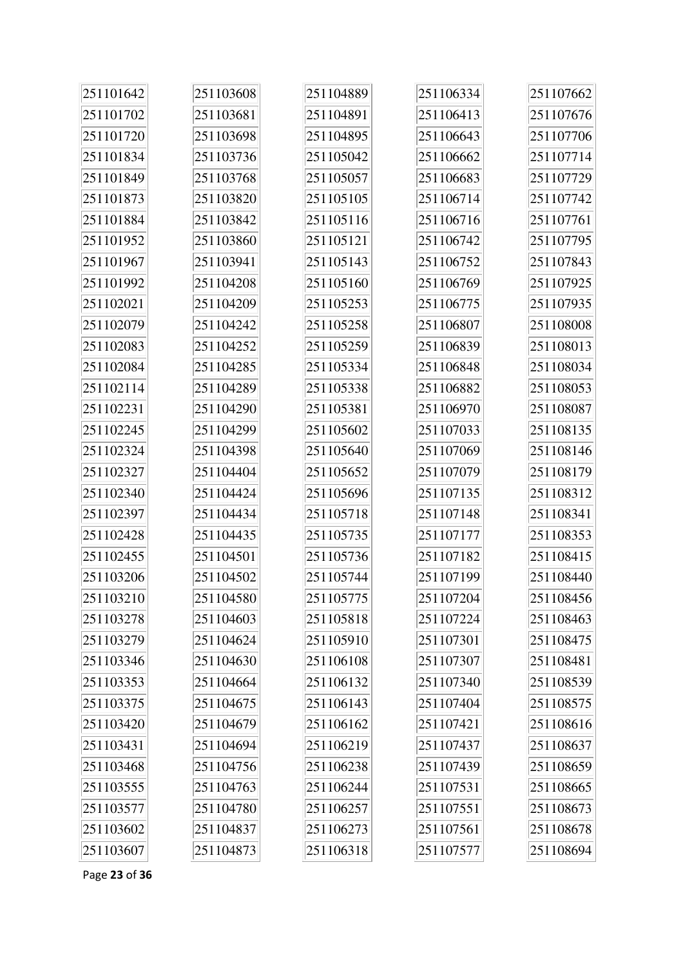| 251101642 | 251103608 | 251104889 | 251106334 | 251107662 |
|-----------|-----------|-----------|-----------|-----------|
| 251101702 | 251103681 | 251104891 | 251106413 | 251107676 |
| 251101720 | 251103698 | 251104895 | 251106643 | 251107706 |
| 251101834 | 251103736 | 251105042 | 251106662 | 251107714 |
| 251101849 | 251103768 | 251105057 | 251106683 | 251107729 |
| 251101873 | 251103820 | 251105105 | 251106714 | 251107742 |
| 251101884 | 251103842 | 251105116 | 251106716 | 251107761 |
| 251101952 | 251103860 | 251105121 | 251106742 | 251107795 |
| 251101967 | 251103941 | 251105143 | 251106752 | 251107843 |
| 251101992 | 251104208 | 251105160 | 251106769 | 251107925 |
| 251102021 | 251104209 | 251105253 | 251106775 | 251107935 |
| 251102079 | 251104242 | 251105258 | 251106807 | 251108008 |
| 251102083 | 251104252 | 251105259 | 251106839 | 251108013 |
| 251102084 | 251104285 | 251105334 | 251106848 | 251108034 |
| 251102114 | 251104289 | 251105338 | 251106882 | 251108053 |
| 251102231 | 251104290 | 251105381 | 251106970 | 251108087 |
| 251102245 | 251104299 | 251105602 | 251107033 | 251108135 |
| 251102324 | 251104398 | 251105640 | 251107069 | 251108146 |
| 251102327 | 251104404 | 251105652 | 251107079 | 251108179 |
| 251102340 | 251104424 | 251105696 | 251107135 | 251108312 |
| 251102397 | 251104434 | 251105718 | 251107148 | 251108341 |
| 251102428 | 251104435 | 251105735 | 251107177 | 251108353 |
| 251102455 | 251104501 | 251105736 | 251107182 | 251108415 |
| 251103206 | 251104502 | 251105744 | 251107199 | 251108440 |
| 251103210 | 251104580 | 251105775 | 251107204 | 251108456 |
| 251103278 | 251104603 | 251105818 | 251107224 | 251108463 |
| 251103279 | 251104624 | 251105910 | 251107301 | 251108475 |
| 251103346 | 251104630 | 251106108 | 251107307 | 251108481 |
| 251103353 | 251104664 | 251106132 | 251107340 | 251108539 |
| 251103375 | 251104675 | 251106143 | 251107404 | 251108575 |
| 251103420 | 251104679 | 251106162 | 251107421 | 251108616 |
| 251103431 | 251104694 | 251106219 | 251107437 | 251108637 |
| 251103468 | 251104756 | 251106238 | 251107439 | 251108659 |
| 251103555 | 251104763 | 251106244 | 251107531 | 251108665 |
| 251103577 | 251104780 | 251106257 | 251107551 | 251108673 |
| 251103602 | 251104837 | 251106273 | 251107561 | 251108678 |
| 251103607 | 251104873 | 251106318 | 251107577 | 251108694 |

Page **23** of **36**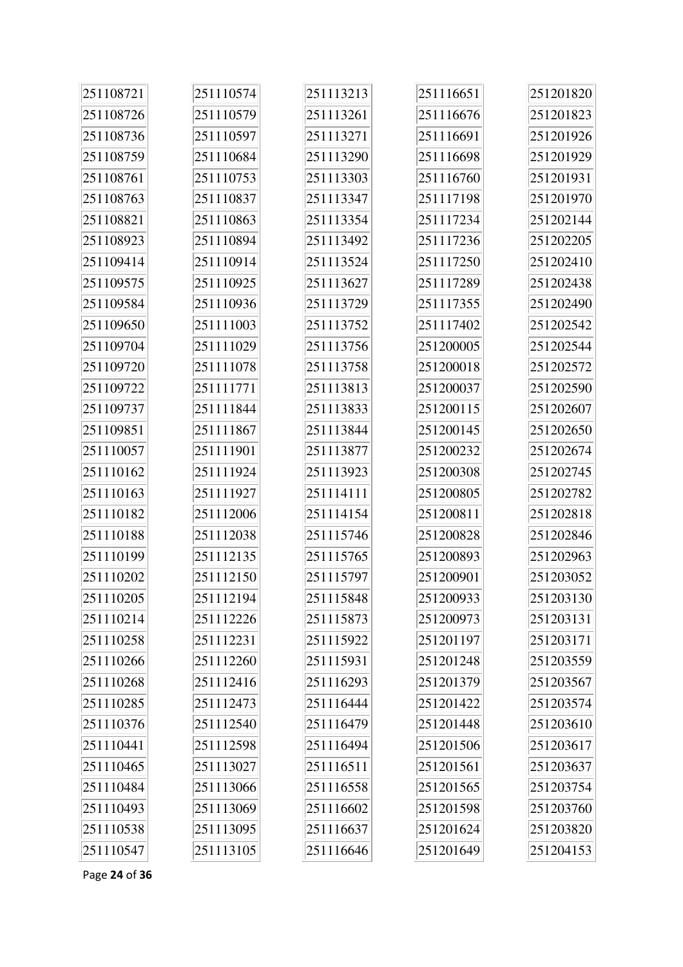| 251108721 | 251110574 | 251113213 | 251116651 | 251201820 |
|-----------|-----------|-----------|-----------|-----------|
| 251108726 | 251110579 | 251113261 | 251116676 | 251201823 |
| 251108736 | 251110597 | 251113271 | 251116691 | 251201926 |
| 251108759 | 251110684 | 251113290 | 251116698 | 251201929 |
| 251108761 | 251110753 | 251113303 | 251116760 | 251201931 |
| 251108763 | 251110837 | 251113347 | 251117198 | 251201970 |
| 251108821 | 251110863 | 251113354 | 251117234 | 251202144 |
| 251108923 | 251110894 | 251113492 | 251117236 | 251202205 |
| 251109414 | 251110914 | 251113524 | 251117250 | 251202410 |
| 251109575 | 251110925 | 251113627 | 251117289 | 251202438 |
| 251109584 | 251110936 | 251113729 | 251117355 | 251202490 |
| 251109650 | 251111003 | 251113752 | 251117402 | 251202542 |
| 251109704 | 251111029 | 251113756 | 251200005 | 251202544 |
| 251109720 | 251111078 | 251113758 | 251200018 | 251202572 |
| 251109722 | 251111771 | 251113813 | 251200037 | 251202590 |
| 251109737 | 251111844 | 251113833 | 251200115 | 251202607 |
| 251109851 | 251111867 | 251113844 | 251200145 | 251202650 |
| 251110057 | 251111901 | 251113877 | 251200232 | 251202674 |
| 251110162 | 251111924 | 251113923 | 251200308 | 251202745 |
| 251110163 | 251111927 | 251114111 | 251200805 | 251202782 |
| 251110182 | 251112006 | 251114154 | 251200811 | 251202818 |
| 251110188 | 251112038 | 251115746 | 251200828 | 251202846 |
| 251110199 | 251112135 | 251115765 | 251200893 | 251202963 |
| 251110202 | 251112150 | 251115797 | 251200901 | 251203052 |
| 251110205 | 251112194 | 251115848 | 251200933 | 251203130 |
| 251110214 | 251112226 | 251115873 | 251200973 | 251203131 |
| 251110258 | 251112231 | 251115922 | 251201197 | 251203171 |
| 251110266 | 251112260 | 251115931 | 251201248 | 251203559 |
| 251110268 | 251112416 | 251116293 | 251201379 | 251203567 |
| 251110285 | 251112473 | 251116444 | 251201422 | 251203574 |
| 251110376 | 251112540 | 251116479 | 251201448 | 251203610 |
| 251110441 | 251112598 | 251116494 | 251201506 | 251203617 |
| 251110465 | 251113027 | 251116511 | 251201561 | 251203637 |
| 251110484 | 251113066 | 251116558 | 251201565 | 251203754 |
| 251110493 | 251113069 | 251116602 | 251201598 | 251203760 |
| 251110538 | 251113095 | 251116637 | 251201624 | 251203820 |
| 251110547 | 251113105 | 251116646 | 251201649 | 251204153 |

Page **24** of **36**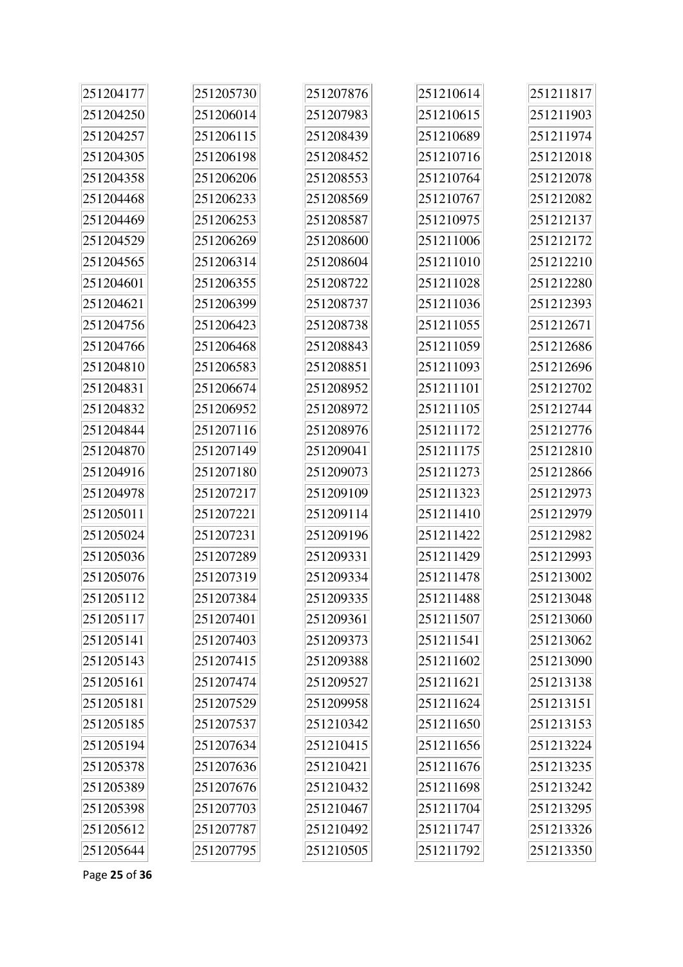| 251204177 | 251205730 | 251207876 | 251210614 | 251211817 |
|-----------|-----------|-----------|-----------|-----------|
| 251204250 | 251206014 | 251207983 | 251210615 | 251211903 |
| 251204257 | 251206115 | 251208439 | 251210689 | 251211974 |
| 251204305 | 251206198 | 251208452 | 251210716 | 251212018 |
| 251204358 | 251206206 | 251208553 | 251210764 | 251212078 |
| 251204468 | 251206233 | 251208569 | 251210767 | 251212082 |
| 251204469 | 251206253 | 251208587 | 251210975 | 251212137 |
| 251204529 | 251206269 | 251208600 | 251211006 | 251212172 |
| 251204565 | 251206314 | 251208604 | 251211010 | 251212210 |
| 251204601 | 251206355 | 251208722 | 251211028 | 251212280 |
| 251204621 | 251206399 | 251208737 | 251211036 | 251212393 |
| 251204756 | 251206423 | 251208738 | 251211055 | 251212671 |
| 251204766 | 251206468 | 251208843 | 251211059 | 251212686 |
| 251204810 | 251206583 | 251208851 | 251211093 | 251212696 |
| 251204831 | 251206674 | 251208952 | 251211101 | 251212702 |
| 251204832 | 251206952 | 251208972 | 251211105 | 251212744 |
| 251204844 | 251207116 | 251208976 | 251211172 | 251212776 |
| 251204870 | 251207149 | 251209041 | 251211175 | 251212810 |
| 251204916 | 251207180 | 251209073 | 251211273 | 251212866 |
| 251204978 | 251207217 | 251209109 | 251211323 | 251212973 |
| 251205011 | 251207221 | 251209114 | 251211410 | 251212979 |
| 251205024 | 251207231 | 251209196 | 251211422 | 251212982 |
| 251205036 | 251207289 | 251209331 | 251211429 | 251212993 |
| 251205076 | 251207319 | 251209334 | 251211478 | 251213002 |
| 251205112 | 251207384 | 251209335 | 251211488 | 251213048 |
| 251205117 | 251207401 | 251209361 | 251211507 | 251213060 |
| 251205141 | 251207403 | 251209373 | 251211541 | 251213062 |
| 251205143 | 251207415 | 251209388 | 251211602 | 251213090 |
| 251205161 | 251207474 | 251209527 | 251211621 | 251213138 |
| 251205181 | 251207529 | 251209958 | 251211624 | 251213151 |
| 251205185 | 251207537 | 251210342 | 251211650 | 251213153 |
| 251205194 | 251207634 | 251210415 | 251211656 | 251213224 |
| 251205378 | 251207636 | 251210421 | 251211676 | 251213235 |
| 251205389 | 251207676 | 251210432 | 251211698 | 251213242 |
| 251205398 | 251207703 | 251210467 | 251211704 | 251213295 |
| 251205612 | 251207787 | 251210492 | 251211747 | 251213326 |
| 251205644 | 251207795 | 251210505 | 251211792 | 251213350 |

Page **25** of **36**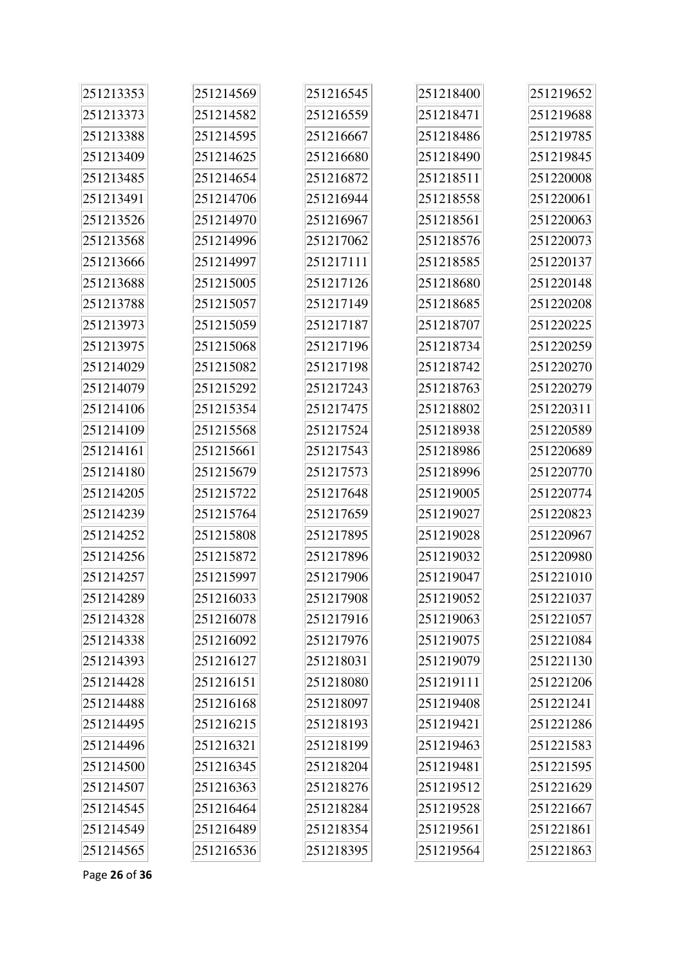| 251213353 | 251214569 | 251216545 | 251218400 | 251219652 |
|-----------|-----------|-----------|-----------|-----------|
| 251213373 | 251214582 | 251216559 | 251218471 | 251219688 |
| 251213388 | 251214595 | 251216667 | 251218486 | 251219785 |
| 251213409 | 251214625 | 251216680 | 251218490 | 251219845 |
| 251213485 | 251214654 | 251216872 | 251218511 | 251220008 |
| 251213491 | 251214706 | 251216944 | 251218558 | 251220061 |
| 251213526 | 251214970 | 251216967 | 251218561 | 251220063 |
| 251213568 | 251214996 | 251217062 | 251218576 | 251220073 |
| 251213666 | 251214997 | 251217111 | 251218585 | 251220137 |
| 251213688 | 251215005 | 251217126 | 251218680 | 251220148 |
| 251213788 | 251215057 | 251217149 | 251218685 | 251220208 |
| 251213973 | 251215059 | 251217187 | 251218707 | 251220225 |
| 251213975 | 251215068 | 251217196 | 251218734 | 251220259 |
| 251214029 | 251215082 | 251217198 | 251218742 | 251220270 |
| 251214079 | 251215292 | 251217243 | 251218763 | 251220279 |
| 251214106 | 251215354 | 251217475 | 251218802 | 251220311 |
| 251214109 | 251215568 | 251217524 | 251218938 | 251220589 |
| 251214161 | 251215661 | 251217543 | 251218986 | 251220689 |
| 251214180 | 251215679 | 251217573 | 251218996 | 251220770 |
| 251214205 | 251215722 | 251217648 | 251219005 | 251220774 |
| 251214239 | 251215764 | 251217659 | 251219027 | 251220823 |
| 251214252 | 251215808 | 251217895 | 251219028 | 251220967 |
| 251214256 | 251215872 | 251217896 | 251219032 | 251220980 |
| 251214257 | 251215997 | 251217906 | 251219047 | 251221010 |
| 251214289 | 251216033 | 251217908 | 251219052 | 251221037 |
| 251214328 | 251216078 | 251217916 | 251219063 | 251221057 |
| 251214338 | 251216092 | 251217976 | 251219075 | 251221084 |
| 251214393 | 251216127 | 251218031 | 251219079 | 251221130 |
| 251214428 | 251216151 | 251218080 | 251219111 | 251221206 |
| 251214488 | 251216168 | 251218097 | 251219408 | 251221241 |
| 251214495 | 251216215 | 251218193 | 251219421 | 251221286 |
| 251214496 | 251216321 | 251218199 | 251219463 | 251221583 |
| 251214500 | 251216345 | 251218204 | 251219481 | 251221595 |
| 251214507 | 251216363 | 251218276 | 251219512 | 251221629 |
| 251214545 | 251216464 | 251218284 | 251219528 | 251221667 |
| 251214549 | 251216489 | 251218354 | 251219561 | 251221861 |
| 251214565 | 251216536 | 251218395 | 251219564 | 251221863 |

Page **26** of **36**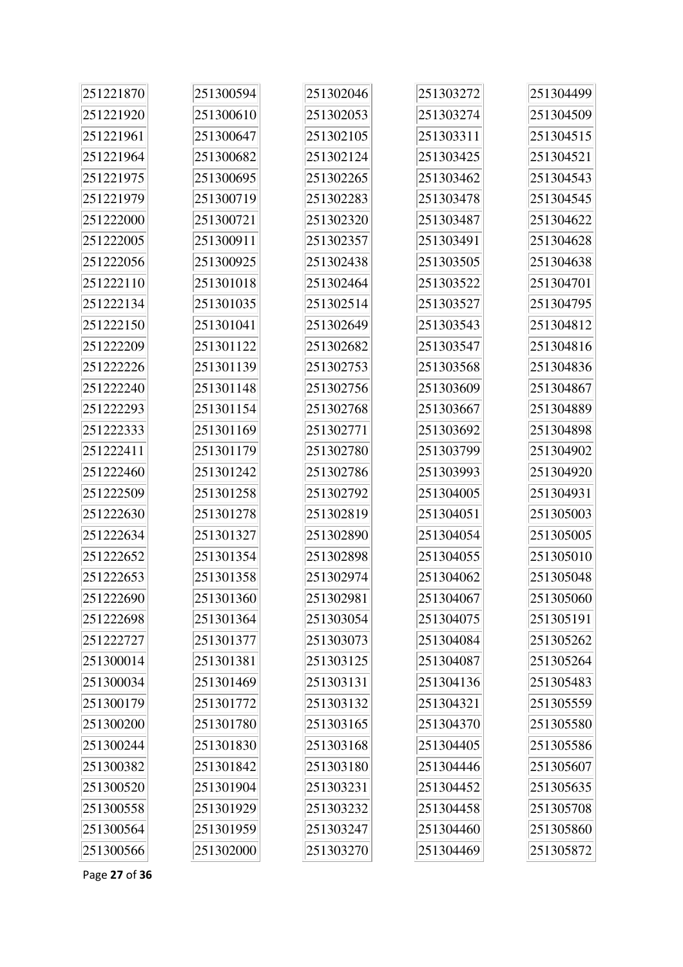| 251221870  | 251300594 | 251302046 | 251303272 | 251304499 |
|------------|-----------|-----------|-----------|-----------|
| 251221920  | 251300610 | 251302053 | 251303274 | 251304509 |
| 251221961  | 251300647 | 251302105 | 251303311 | 251304515 |
| 251221964  | 251300682 | 251302124 | 251303425 | 251304521 |
| 251221975  | 251300695 | 251302265 | 251303462 | 251304543 |
| 251221979  | 251300719 | 251302283 | 251303478 | 251304545 |
| 251222000  | 251300721 | 251302320 | 251303487 | 251304622 |
| 251222005  | 251300911 | 251302357 | 251303491 | 251304628 |
| 251222056  | 251300925 | 251302438 | 251303505 | 251304638 |
| 251222110  | 251301018 | 251302464 | 251303522 | 251304701 |
| 251222134  | 251301035 | 251302514 | 251303527 | 251304795 |
| 251222150  | 251301041 | 251302649 | 251303543 | 251304812 |
| 251222209  | 251301122 | 251302682 | 251303547 | 251304816 |
| 2512222226 | 251301139 | 251302753 | 251303568 | 251304836 |
| 251222240  | 251301148 | 251302756 | 251303609 | 251304867 |
| 251222293  | 251301154 | 251302768 | 251303667 | 251304889 |
| 251222333  | 251301169 | 251302771 | 251303692 | 251304898 |
| 251222411  | 251301179 | 251302780 | 251303799 | 251304902 |
| 251222460  | 251301242 | 251302786 | 251303993 | 251304920 |
| 251222509  | 251301258 | 251302792 | 251304005 | 251304931 |
| 251222630  | 251301278 | 251302819 | 251304051 | 251305003 |
| 251222634  | 251301327 | 251302890 | 251304054 | 251305005 |
| 251222652  | 251301354 | 251302898 | 251304055 | 251305010 |
| 251222653  | 251301358 | 251302974 | 251304062 | 251305048 |
| 251222690  | 251301360 | 251302981 | 251304067 | 251305060 |
| 251222698  | 251301364 | 251303054 | 251304075 | 251305191 |
| 251222727  | 251301377 | 251303073 | 251304084 | 251305262 |
| 251300014  | 251301381 | 251303125 | 251304087 | 251305264 |
| 251300034  | 251301469 | 251303131 | 251304136 | 251305483 |
| 251300179  | 251301772 | 251303132 | 251304321 | 251305559 |
| 251300200  | 251301780 | 251303165 | 251304370 | 251305580 |
| 251300244  | 251301830 | 251303168 | 251304405 | 251305586 |
| 251300382  | 251301842 | 251303180 | 251304446 | 251305607 |
| 251300520  | 251301904 | 251303231 | 251304452 | 251305635 |
| 251300558  | 251301929 | 251303232 | 251304458 | 251305708 |
| 251300564  | 251301959 | 251303247 | 251304460 | 251305860 |
| 251300566  | 251302000 | 251303270 | 251304469 | 251305872 |

Page **27** of **36**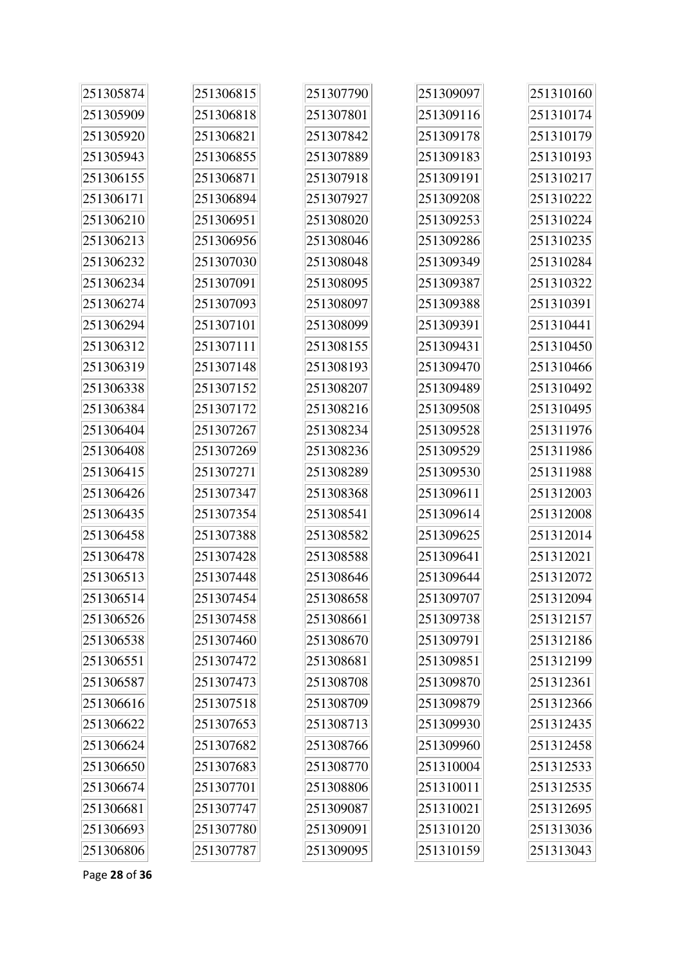| 251305874 | 251306815 | 251307790 | 251309097 | 251310160 |
|-----------|-----------|-----------|-----------|-----------|
| 251305909 | 251306818 | 251307801 | 251309116 | 251310174 |
| 251305920 | 251306821 | 251307842 | 251309178 | 251310179 |
| 251305943 | 251306855 | 251307889 | 251309183 | 251310193 |
| 251306155 | 251306871 | 251307918 | 251309191 | 251310217 |
| 251306171 | 251306894 | 251307927 | 251309208 | 251310222 |
| 251306210 | 251306951 | 251308020 | 251309253 | 251310224 |
| 251306213 | 251306956 | 251308046 | 251309286 | 251310235 |
| 251306232 | 251307030 | 251308048 | 251309349 | 251310284 |
| 251306234 | 251307091 | 251308095 | 251309387 | 251310322 |
| 251306274 | 251307093 | 251308097 | 251309388 | 251310391 |
| 251306294 | 251307101 | 251308099 | 251309391 | 251310441 |
| 251306312 | 251307111 | 251308155 | 251309431 | 251310450 |
| 251306319 | 251307148 | 251308193 | 251309470 | 251310466 |
| 251306338 | 251307152 | 251308207 | 251309489 | 251310492 |
| 251306384 | 251307172 | 251308216 | 251309508 | 251310495 |
| 251306404 | 251307267 | 251308234 | 251309528 | 251311976 |
| 251306408 | 251307269 | 251308236 | 251309529 | 251311986 |
| 251306415 | 251307271 | 251308289 | 251309530 | 251311988 |
| 251306426 | 251307347 | 251308368 | 251309611 | 251312003 |
| 251306435 | 251307354 | 251308541 | 251309614 | 251312008 |
| 251306458 | 251307388 | 251308582 | 251309625 | 251312014 |
| 251306478 | 251307428 | 251308588 | 251309641 | 251312021 |
| 251306513 | 251307448 | 251308646 | 251309644 | 251312072 |
| 251306514 | 251307454 | 251308658 | 251309707 | 251312094 |
| 251306526 | 251307458 | 251308661 | 251309738 | 251312157 |
| 251306538 | 251307460 | 251308670 | 251309791 | 251312186 |
| 251306551 | 251307472 | 251308681 | 251309851 | 251312199 |
| 251306587 | 251307473 | 251308708 | 251309870 | 251312361 |
| 251306616 | 251307518 | 251308709 | 251309879 | 251312366 |
| 251306622 | 251307653 | 251308713 | 251309930 | 251312435 |
| 251306624 | 251307682 | 251308766 | 251309960 | 251312458 |
| 251306650 | 251307683 | 251308770 | 251310004 | 251312533 |
| 251306674 | 251307701 | 251308806 | 251310011 | 251312535 |
| 251306681 | 251307747 | 251309087 | 251310021 | 251312695 |
| 251306693 | 251307780 | 251309091 | 251310120 | 251313036 |
| 251306806 | 251307787 | 251309095 | 251310159 | 251313043 |

Page **28** of **36**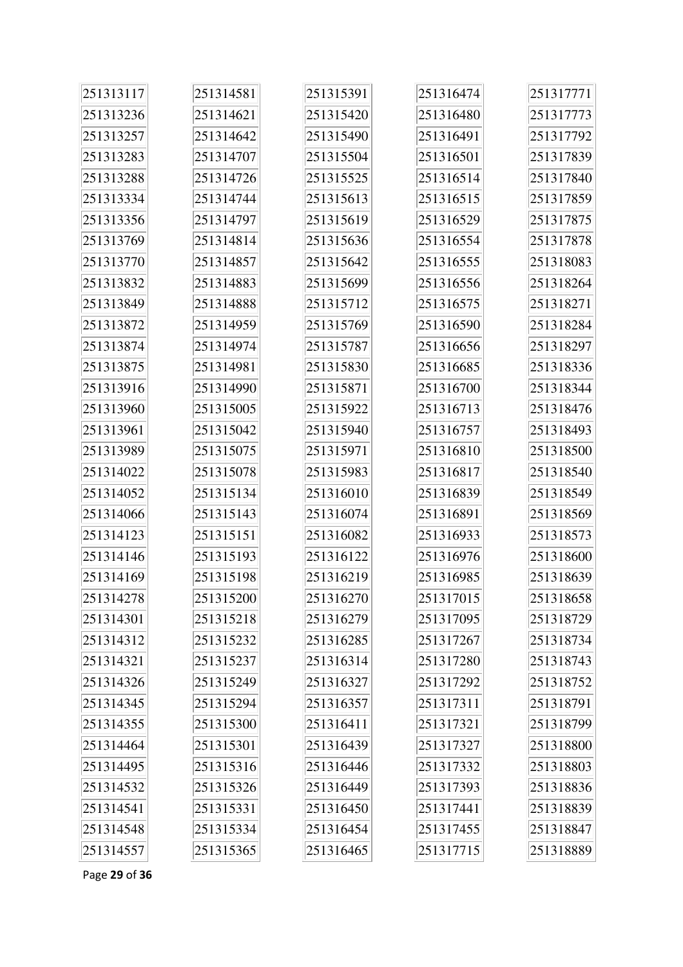| 251313117 | 251314581 | 251315391 | 251316474 | 251317771 |
|-----------|-----------|-----------|-----------|-----------|
| 251313236 | 251314621 | 251315420 | 251316480 | 251317773 |
| 251313257 | 251314642 | 251315490 | 251316491 | 251317792 |
| 251313283 | 251314707 | 251315504 | 251316501 | 251317839 |
| 251313288 | 251314726 | 251315525 | 251316514 | 251317840 |
| 251313334 | 251314744 | 251315613 | 251316515 | 251317859 |
| 251313356 | 251314797 | 251315619 | 251316529 | 251317875 |
| 251313769 | 251314814 | 251315636 | 251316554 | 251317878 |
| 251313770 | 251314857 | 251315642 | 251316555 | 251318083 |
| 251313832 | 251314883 | 251315699 | 251316556 | 251318264 |
| 251313849 | 251314888 | 251315712 | 251316575 | 251318271 |
| 251313872 | 251314959 | 251315769 | 251316590 | 251318284 |
| 251313874 | 251314974 | 251315787 | 251316656 | 251318297 |
| 251313875 | 251314981 | 251315830 | 251316685 | 251318336 |
| 251313916 | 251314990 | 251315871 | 251316700 | 251318344 |
| 251313960 | 251315005 | 251315922 | 251316713 | 251318476 |
| 251313961 | 251315042 | 251315940 | 251316757 | 251318493 |
| 251313989 | 251315075 | 251315971 | 251316810 | 251318500 |
| 251314022 | 251315078 | 251315983 | 251316817 | 251318540 |
| 251314052 | 251315134 | 251316010 | 251316839 | 251318549 |
| 251314066 | 251315143 | 251316074 | 251316891 | 251318569 |
| 251314123 | 251315151 | 251316082 | 251316933 | 251318573 |
| 251314146 | 251315193 | 251316122 | 251316976 | 251318600 |
| 251314169 | 251315198 | 251316219 | 251316985 | 251318639 |
| 251314278 | 251315200 | 251316270 | 251317015 | 251318658 |
| 251314301 | 251315218 | 251316279 | 251317095 | 251318729 |
| 251314312 | 251315232 | 251316285 | 251317267 | 251318734 |
| 251314321 | 251315237 | 251316314 | 251317280 | 251318743 |
| 251314326 | 251315249 | 251316327 | 251317292 | 251318752 |
| 251314345 | 251315294 | 251316357 | 251317311 | 251318791 |
| 251314355 | 251315300 | 251316411 | 251317321 | 251318799 |
| 251314464 | 251315301 | 251316439 | 251317327 | 251318800 |
| 251314495 | 251315316 | 251316446 | 251317332 | 251318803 |
| 251314532 | 251315326 | 251316449 | 251317393 | 251318836 |
| 251314541 | 251315331 | 251316450 | 251317441 | 251318839 |
| 251314548 | 251315334 | 251316454 | 251317455 | 251318847 |
| 251314557 | 251315365 | 251316465 | 251317715 | 251318889 |

Page **29** of **36**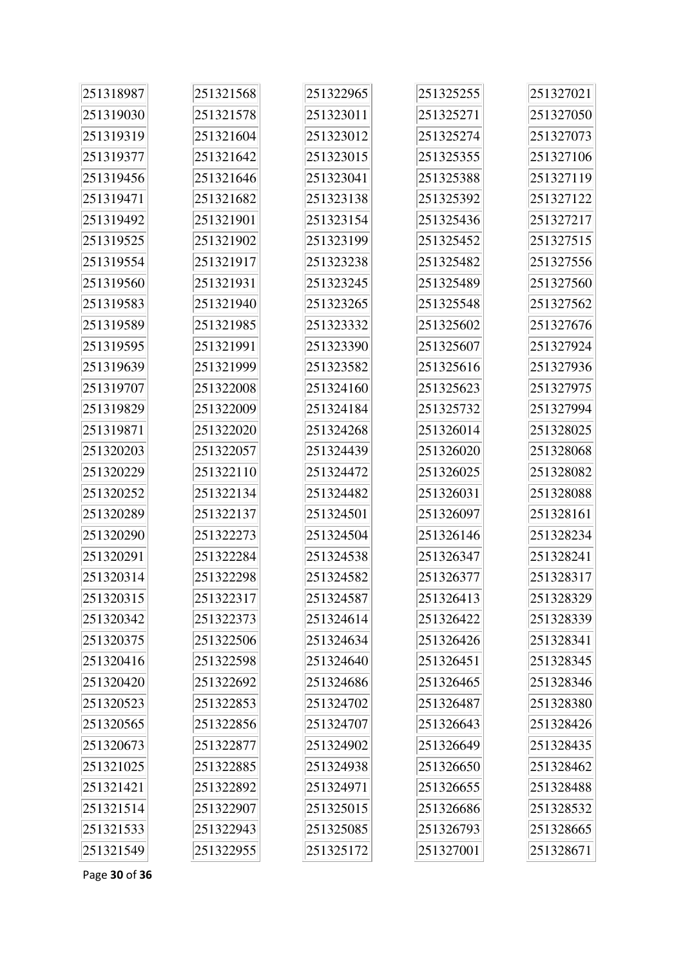| 251318987 | 251321568 | 251322965 | 251325255 | 251327021 |
|-----------|-----------|-----------|-----------|-----------|
| 251319030 | 251321578 | 251323011 | 251325271 | 251327050 |
| 251319319 | 251321604 | 251323012 | 251325274 | 251327073 |
| 251319377 | 251321642 | 251323015 | 251325355 | 251327106 |
| 251319456 | 251321646 | 251323041 | 251325388 | 251327119 |
| 251319471 | 251321682 | 251323138 | 251325392 | 251327122 |
| 251319492 | 251321901 | 251323154 | 251325436 | 251327217 |
| 251319525 | 251321902 | 251323199 | 251325452 | 251327515 |
| 251319554 | 251321917 | 251323238 | 251325482 | 251327556 |
| 251319560 | 251321931 | 251323245 | 251325489 | 251327560 |
| 251319583 | 251321940 | 251323265 | 251325548 | 251327562 |
| 251319589 | 251321985 | 251323332 | 251325602 | 251327676 |
| 251319595 | 251321991 | 251323390 | 251325607 | 251327924 |
| 251319639 | 251321999 | 251323582 | 251325616 | 251327936 |
| 251319707 | 251322008 | 251324160 | 251325623 | 251327975 |
| 251319829 | 251322009 | 251324184 | 251325732 | 251327994 |
| 251319871 | 251322020 | 251324268 | 251326014 | 251328025 |
| 251320203 | 251322057 | 251324439 | 251326020 | 251328068 |
| 251320229 | 251322110 | 251324472 | 251326025 | 251328082 |
| 251320252 | 251322134 | 251324482 | 251326031 | 251328088 |
| 251320289 | 251322137 | 251324501 | 251326097 | 251328161 |
| 251320290 | 251322273 | 251324504 | 251326146 | 251328234 |
| 251320291 | 251322284 | 251324538 | 251326347 | 251328241 |
| 251320314 | 251322298 | 251324582 | 251326377 | 251328317 |
| 251320315 | 251322317 | 251324587 | 251326413 | 251328329 |
| 251320342 | 251322373 | 251324614 | 251326422 | 251328339 |
| 251320375 | 251322506 | 251324634 | 251326426 | 251328341 |
| 251320416 | 251322598 | 251324640 | 251326451 | 251328345 |
| 251320420 | 251322692 | 251324686 | 251326465 | 251328346 |
| 251320523 | 251322853 | 251324702 | 251326487 | 251328380 |
| 251320565 | 251322856 | 251324707 | 251326643 | 251328426 |
| 251320673 | 251322877 | 251324902 | 251326649 | 251328435 |
| 251321025 | 251322885 | 251324938 | 251326650 | 251328462 |
| 251321421 | 251322892 | 251324971 | 251326655 | 251328488 |
| 251321514 | 251322907 | 251325015 | 251326686 | 251328532 |
| 251321533 | 251322943 | 251325085 | 251326793 | 251328665 |
| 251321549 | 251322955 | 251325172 | 251327001 | 251328671 |

Page **30** of **36**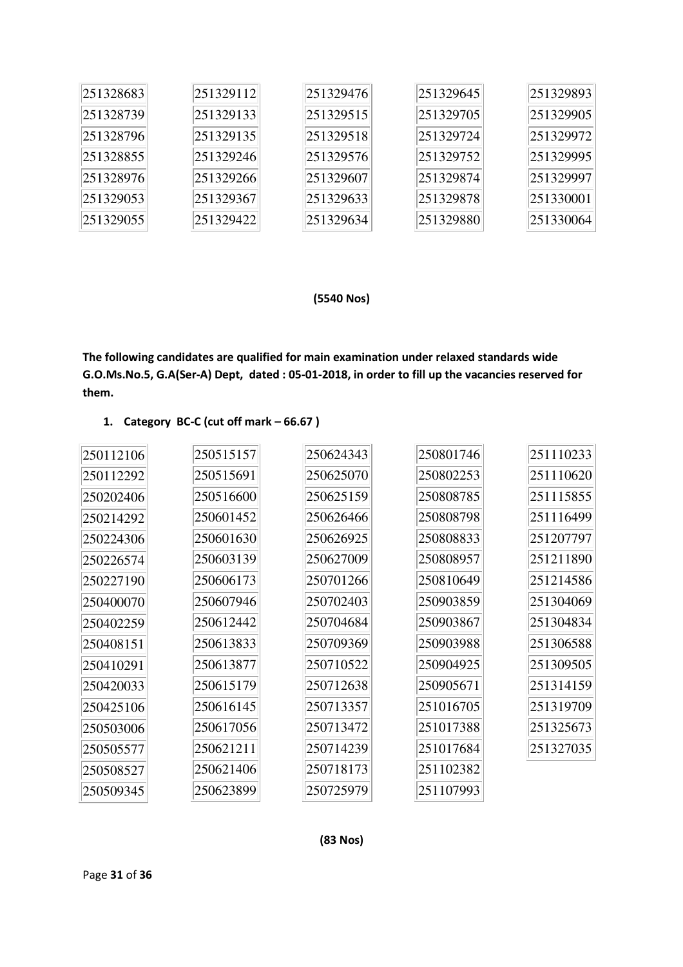| 251328683 | 251329112 | 251329476 | 251329645 | 251329893 |
|-----------|-----------|-----------|-----------|-----------|
| 251328739 | 251329133 | 251329515 | 251329705 | 251329905 |
| 251328796 | 251329135 | 251329518 | 251329724 | 251329972 |
| 251328855 | 251329246 | 251329576 | 251329752 | 251329995 |
| 251328976 | 251329266 | 251329607 | 251329874 | 251329997 |
| 251329053 | 251329367 | 251329633 | 251329878 | 251330001 |
| 251329055 | 251329422 | 251329634 | 251329880 | 251330064 |

## **(5540 Nos)**

**The following candidates are qualified for main examination under relaxed standards wide G.O.Ms.No.5, G.A(Ser-A) Dept, dated : 05-01-2018, in order to fill up the vacancies reserved for them.** 

#### **1. Category BC-C (cut off mark – 66.67 )**

| 250112106 | 250515157 | 250624343 | 250801746 | 251110233 |
|-----------|-----------|-----------|-----------|-----------|
| 250112292 | 250515691 | 250625070 | 250802253 | 251110620 |
| 250202406 | 250516600 | 250625159 | 250808785 | 251115855 |
| 250214292 | 250601452 | 250626466 | 250808798 | 251116499 |
| 250224306 | 250601630 | 250626925 | 250808833 | 251207797 |
| 250226574 | 250603139 | 250627009 | 250808957 | 251211890 |
| 250227190 | 250606173 | 250701266 | 250810649 | 251214586 |
| 250400070 | 250607946 | 250702403 | 250903859 | 251304069 |
| 250402259 | 250612442 | 250704684 | 250903867 | 251304834 |
| 250408151 | 250613833 | 250709369 | 250903988 | 251306588 |
| 250410291 | 250613877 | 250710522 | 250904925 | 251309505 |
| 250420033 | 250615179 | 250712638 | 250905671 | 251314159 |
| 250425106 | 250616145 | 250713357 | 251016705 | 251319709 |
| 250503006 | 250617056 | 250713472 | 251017388 | 251325673 |
| 250505577 | 250621211 | 250714239 | 251017684 | 251327035 |
| 250508527 | 250621406 | 250718173 | 251102382 |           |
| 250509345 | 250623899 | 250725979 | 251107993 |           |
|           |           |           |           |           |

#### **(83 Nos)**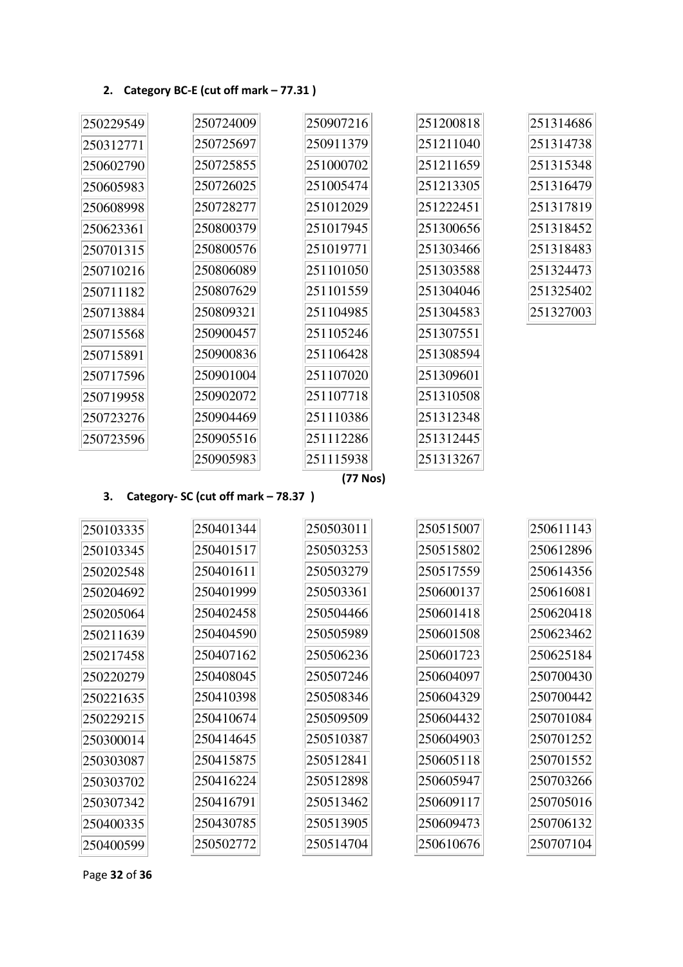## **2. Category BC-E (cut off mark – 77.31 )**

| 250229549 | 250724009 | 250907216 | 251200818 | 251314686 |
|-----------|-----------|-----------|-----------|-----------|
| 250312771 | 250725697 | 250911379 | 251211040 | 251314738 |
| 250602790 | 250725855 | 251000702 | 251211659 | 251315348 |
| 250605983 | 250726025 | 251005474 | 251213305 | 251316479 |
| 250608998 | 250728277 | 251012029 | 251222451 | 251317819 |
| 250623361 | 250800379 | 251017945 | 251300656 | 251318452 |
| 250701315 | 250800576 | 251019771 | 251303466 | 251318483 |
| 250710216 | 250806089 | 251101050 | 251303588 | 251324473 |
| 250711182 | 250807629 | 251101559 | 251304046 | 251325402 |
| 250713884 | 250809321 | 251104985 | 251304583 | 251327003 |
| 250715568 | 250900457 | 251105246 | 251307551 |           |
| 250715891 | 250900836 | 251106428 | 251308594 |           |
| 250717596 | 250901004 | 251107020 | 251309601 |           |
| 250719958 | 250902072 | 251107718 | 251310508 |           |
| 250723276 | 250904469 | 251110386 | 251312348 |           |
| 250723596 | 250905516 | 251112286 | 251312445 |           |
|           | 250905983 | 251115938 | 251313267 |           |

# **(77 Nos)**

## **3. Category- SC (cut off mark – 78.37 )**

| 250103335 | 250401344 | 250503011 | 250515007 | 250611143 |
|-----------|-----------|-----------|-----------|-----------|
| 250103345 | 250401517 | 250503253 | 250515802 | 250612896 |
| 250202548 | 250401611 | 250503279 | 250517559 | 250614356 |
| 250204692 | 250401999 | 250503361 | 250600137 | 250616081 |
| 250205064 | 250402458 | 250504466 | 250601418 | 250620418 |
| 250211639 | 250404590 | 250505989 | 250601508 | 250623462 |
| 250217458 | 250407162 | 250506236 | 250601723 | 250625184 |
| 250220279 | 250408045 | 250507246 | 250604097 | 250700430 |
| 250221635 | 250410398 | 250508346 | 250604329 | 250700442 |
| 250229215 | 250410674 | 250509509 | 250604432 | 250701084 |
| 250300014 | 250414645 | 250510387 | 250604903 | 250701252 |
| 250303087 | 250415875 | 250512841 | 250605118 | 250701552 |
| 250303702 | 250416224 | 250512898 | 250605947 | 250703266 |
| 250307342 | 250416791 | 250513462 | 250609117 | 250705016 |
| 250400335 | 250430785 | 250513905 | 250609473 | 250706132 |
| 250400599 | 250502772 | 250514704 | 250610676 | 250707104 |

Page **32** of **36**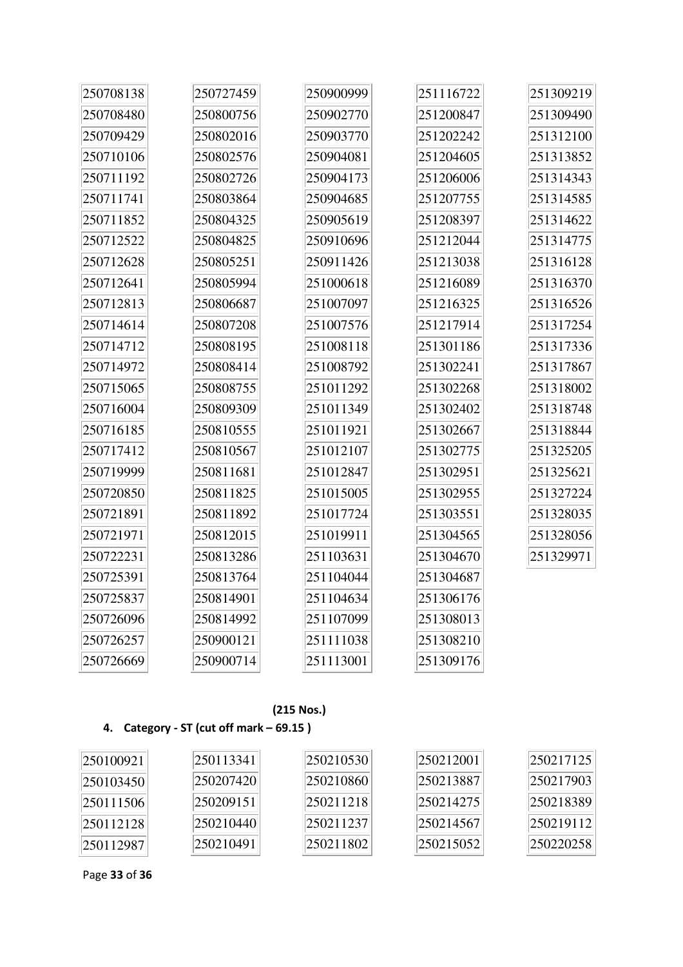| 250708138 | 250727459 | 250900999 | 251116722 | 251309219 |
|-----------|-----------|-----------|-----------|-----------|
| 250708480 | 250800756 | 250902770 | 251200847 | 251309490 |
| 250709429 | 250802016 | 250903770 | 251202242 | 251312100 |
| 250710106 | 250802576 | 250904081 | 251204605 | 251313852 |
| 250711192 | 250802726 | 250904173 | 251206006 | 251314343 |
| 250711741 | 250803864 | 250904685 | 251207755 | 251314585 |
| 250711852 | 250804325 | 250905619 | 251208397 | 251314622 |
| 250712522 | 250804825 | 250910696 | 251212044 | 251314775 |
| 250712628 | 250805251 | 250911426 | 251213038 | 251316128 |
| 250712641 | 250805994 | 251000618 | 251216089 | 251316370 |
| 250712813 | 250806687 | 251007097 | 251216325 | 251316526 |
| 250714614 | 250807208 | 251007576 | 251217914 | 251317254 |
| 250714712 | 250808195 | 251008118 | 251301186 | 251317336 |
| 250714972 | 250808414 | 251008792 | 251302241 | 251317867 |
| 250715065 | 250808755 | 251011292 | 251302268 | 251318002 |
| 250716004 | 250809309 | 251011349 | 251302402 | 251318748 |
| 250716185 | 250810555 | 251011921 | 251302667 | 251318844 |
| 250717412 | 250810567 | 251012107 | 251302775 | 251325205 |
| 250719999 | 250811681 | 251012847 | 251302951 | 251325621 |
| 250720850 | 250811825 | 251015005 | 251302955 | 251327224 |
| 250721891 | 250811892 | 251017724 | 251303551 | 251328035 |
| 250721971 | 250812015 | 251019911 | 251304565 | 251328056 |
| 250722231 | 250813286 | 251103631 | 251304670 | 251329971 |
| 250725391 | 250813764 | 251104044 | 251304687 |           |
| 250725837 | 250814901 | 251104634 | 251306176 |           |
| 250726096 | 250814992 | 251107099 | 251308013 |           |
| 250726257 | 250900121 | 251111038 | 251308210 |           |
| 250726669 | 250900714 | 251113001 | 251309176 |           |

## **(215 Nos.)**

# **4. Category - ST (cut off mark – 69.15 )**

| 250100921       | 250113341 | 250210530 | 250212001 | 250217125 |
|-----------------|-----------|-----------|-----------|-----------|
| 250103450       | 250207420 | 250210860 | 250213887 | 250217903 |
| 250111506       | 250209151 | 250211218 | 250214275 | 250218389 |
| 250112128       | 250210440 | 250211237 | 250214567 | 250219112 |
| $\ 250112987\ $ | 250210491 | 250211802 | 250215052 | 250220258 |

Page **33** of **36**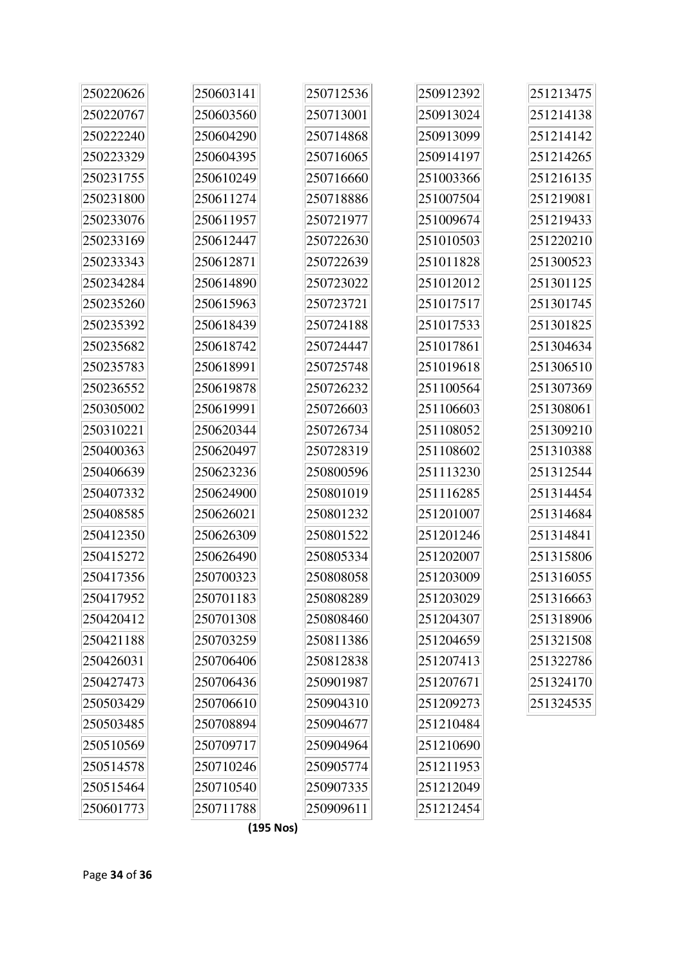| 250220626 | 250603141 | 250712536 | 250912392 | 251213475 |
|-----------|-----------|-----------|-----------|-----------|
| 250220767 | 250603560 | 250713001 | 250913024 | 251214138 |
| 250222240 | 250604290 | 250714868 | 250913099 | 251214142 |
| 250223329 | 250604395 | 250716065 | 250914197 | 251214265 |
| 250231755 | 250610249 | 250716660 | 251003366 | 251216135 |
| 250231800 | 250611274 | 250718886 | 251007504 | 251219081 |
| 250233076 | 250611957 | 250721977 | 251009674 | 251219433 |
| 250233169 | 250612447 | 250722630 | 251010503 | 251220210 |
| 250233343 | 250612871 | 250722639 | 251011828 | 251300523 |
| 250234284 | 250614890 | 250723022 | 251012012 | 251301125 |
| 250235260 | 250615963 | 250723721 | 251017517 | 251301745 |
| 250235392 | 250618439 | 250724188 | 251017533 | 251301825 |
| 250235682 | 250618742 | 250724447 | 251017861 | 251304634 |
| 250235783 | 250618991 | 250725748 | 251019618 | 251306510 |
| 250236552 | 250619878 | 250726232 | 251100564 | 251307369 |
| 250305002 | 250619991 | 250726603 | 251106603 | 251308061 |
| 250310221 | 250620344 | 250726734 | 251108052 | 251309210 |
| 250400363 | 250620497 | 250728319 | 251108602 | 251310388 |
| 250406639 | 250623236 | 250800596 | 251113230 | 251312544 |
| 250407332 | 250624900 | 250801019 | 251116285 | 251314454 |
| 250408585 | 250626021 | 250801232 | 251201007 | 251314684 |
| 250412350 | 250626309 | 250801522 | 251201246 | 251314841 |
| 250415272 | 250626490 | 250805334 | 251202007 | 251315806 |
| 250417356 | 250700323 | 250808058 | 251203009 | 251316055 |
| 250417952 | 250701183 | 250808289 | 251203029 | 251316663 |
| 250420412 | 250701308 | 250808460 | 251204307 | 251318906 |
| 250421188 | 250703259 | 250811386 | 251204659 | 251321508 |
| 250426031 | 250706406 | 250812838 | 251207413 | 251322786 |
| 250427473 | 250706436 | 250901987 | 251207671 | 251324170 |
| 250503429 | 250706610 | 250904310 | 251209273 | 251324535 |
| 250503485 | 250708894 | 250904677 | 251210484 |           |
| 250510569 | 250709717 | 250904964 | 251210690 |           |
| 250514578 | 250710246 | 250905774 | 251211953 |           |
| 250515464 | 250710540 | 250907335 | 251212049 |           |
| 250601773 | 250711788 | 250909611 | 251212454 |           |
|           |           |           |           |           |

**(195 Nos)**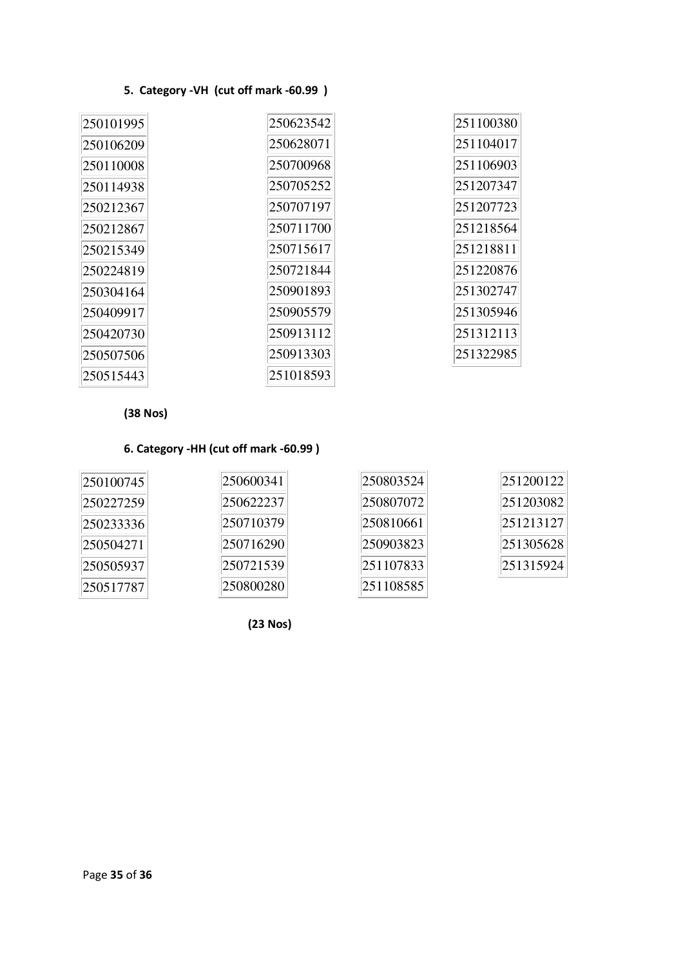## **5. Category -VH (cut off mark -60.99 )**

| 250101995 | 250623542 | 251100380 |
|-----------|-----------|-----------|
| 250106209 | 250628071 | 251104017 |
| 250110008 | 250700968 | 251106903 |
| 250114938 | 250705252 | 251207347 |
| 250212367 | 250707197 | 251207723 |
| 250212867 | 250711700 | 251218564 |
| 250215349 | 250715617 | 251218811 |
| 250224819 | 250721844 | 251220876 |
| 250304164 | 250901893 | 251302747 |
| 250409917 | 250905579 | 251305946 |
| 250420730 | 250913112 | 251312113 |
| 250507506 | 250913303 | 251322985 |
| 250515443 | 251018593 |           |

**(38 Nos)** 

## **6. Category -HH (cut off mark -60.99 )**

| 250100745 | 250600341 | 250803524 | 251200122 |
|-----------|-----------|-----------|-----------|
| 250227259 | 250622237 | 250807072 | 251203082 |
| 250233336 | 250710379 | 250810661 | 251213127 |
| 250504271 | 250716290 | 250903823 | 251305628 |
| 250505937 | 250721539 | 251107833 | 251315924 |
| 250517787 | 250800280 | 251108585 |           |

**(23 Nos)**